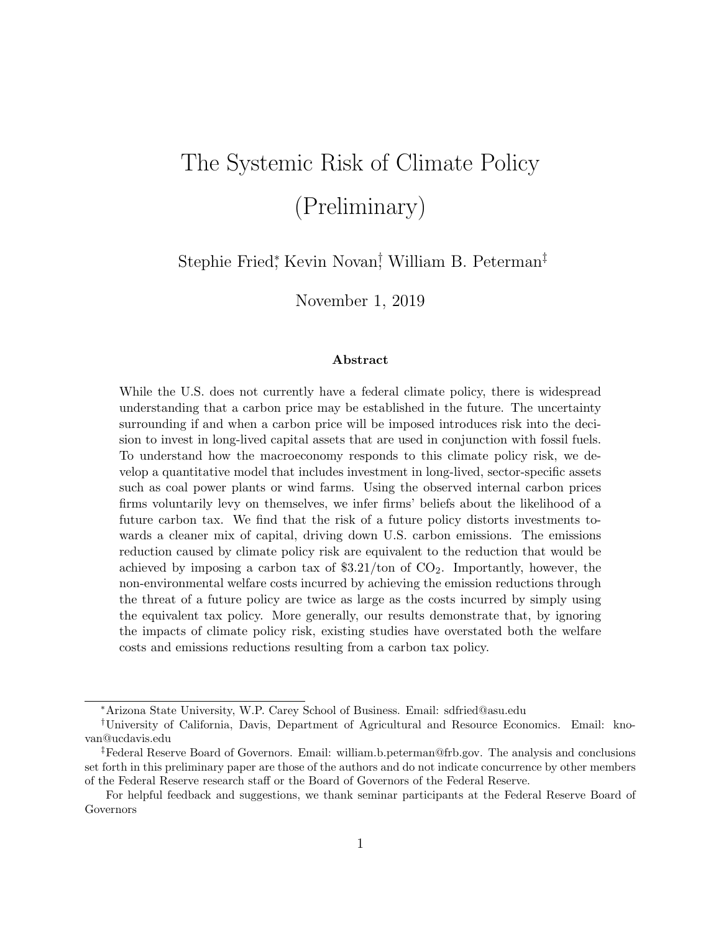# The Systemic Risk of Climate Policy (Preliminary)

Stephie Fried<sup>\*</sup>, Kevin Novan<sup>†</sup>, William B. Peterman<sup>‡</sup>

November 1, 2019

#### Abstract

While the U.S. does not currently have a federal climate policy, there is widespread understanding that a carbon price may be established in the future. The uncertainty surrounding if and when a carbon price will be imposed introduces risk into the decision to invest in long-lived capital assets that are used in conjunction with fossil fuels. To understand how the macroeconomy responds to this climate policy risk, we develop a quantitative model that includes investment in long-lived, sector-specific assets such as coal power plants or wind farms. Using the observed internal carbon prices firms voluntarily levy on themselves, we infer firms' beliefs about the likelihood of a future carbon tax. We find that the risk of a future policy distorts investments towards a cleaner mix of capital, driving down U.S. carbon emissions. The emissions reduction caused by climate policy risk are equivalent to the reduction that would be achieved by imposing a carbon tax of  $$3.21/$ ton of  $CO<sub>2</sub>$ . Importantly, however, the non-environmental welfare costs incurred by achieving the emission reductions through the threat of a future policy are twice as large as the costs incurred by simply using the equivalent tax policy. More generally, our results demonstrate that, by ignoring the impacts of climate policy risk, existing studies have overstated both the welfare costs and emissions reductions resulting from a carbon tax policy.

<sup>∗</sup>Arizona State University, W.P. Carey School of Business. Email: sdfried@asu.edu

<sup>†</sup>University of California, Davis, Department of Agricultural and Resource Economics. Email: knovan@ucdavis.edu

<sup>‡</sup>Federal Reserve Board of Governors. Email: william.b.peterman@frb.gov. The analysis and conclusions set forth in this preliminary paper are those of the authors and do not indicate concurrence by other members of the Federal Reserve research staff or the Board of Governors of the Federal Reserve.

For helpful feedback and suggestions, we thank seminar participants at the Federal Reserve Board of Governors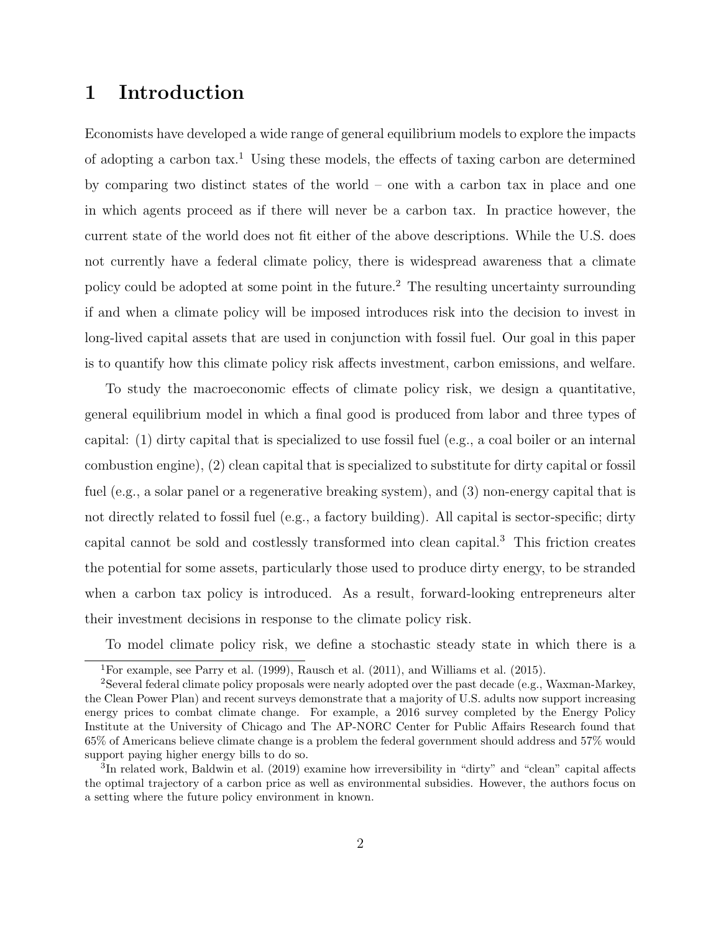### 1 Introduction

Economists have developed a wide range of general equilibrium models to explore the impacts of adopting a carbon tax.<sup>1</sup> Using these models, the effects of taxing carbon are determined by comparing two distinct states of the world – one with a carbon tax in place and one in which agents proceed as if there will never be a carbon tax. In practice however, the current state of the world does not fit either of the above descriptions. While the U.S. does not currently have a federal climate policy, there is widespread awareness that a climate policy could be adopted at some point in the future.<sup>2</sup> The resulting uncertainty surrounding if and when a climate policy will be imposed introduces risk into the decision to invest in long-lived capital assets that are used in conjunction with fossil fuel. Our goal in this paper is to quantify how this climate policy risk affects investment, carbon emissions, and welfare.

To study the macroeconomic effects of climate policy risk, we design a quantitative, general equilibrium model in which a final good is produced from labor and three types of capital: (1) dirty capital that is specialized to use fossil fuel (e.g., a coal boiler or an internal combustion engine), (2) clean capital that is specialized to substitute for dirty capital or fossil fuel (e.g., a solar panel or a regenerative breaking system), and (3) non-energy capital that is not directly related to fossil fuel (e.g., a factory building). All capital is sector-specific; dirty capital cannot be sold and costlessly transformed into clean capital.<sup>3</sup> This friction creates the potential for some assets, particularly those used to produce dirty energy, to be stranded when a carbon tax policy is introduced. As a result, forward-looking entrepreneurs alter their investment decisions in response to the climate policy risk.

To model climate policy risk, we define a stochastic steady state in which there is a

<sup>&</sup>lt;sup>1</sup>For example, see Parry et al. (1999), Rausch et al. (2011), and Williams et al. (2015).

<sup>2</sup>Several federal climate policy proposals were nearly adopted over the past decade (e.g., Waxman-Markey, the Clean Power Plan) and recent surveys demonstrate that a majority of U.S. adults now support increasing energy prices to combat climate change. For example, a 2016 survey completed by the Energy Policy Institute at the University of Chicago and The AP-NORC Center for Public Affairs Research found that 65% of Americans believe climate change is a problem the federal government should address and 57% would support paying higher energy bills to do so.

<sup>&</sup>lt;sup>3</sup>In related work, Baldwin et al. (2019) examine how irreversibility in "dirty" and "clean" capital affects the optimal trajectory of a carbon price as well as environmental subsidies. However, the authors focus on a setting where the future policy environment in known.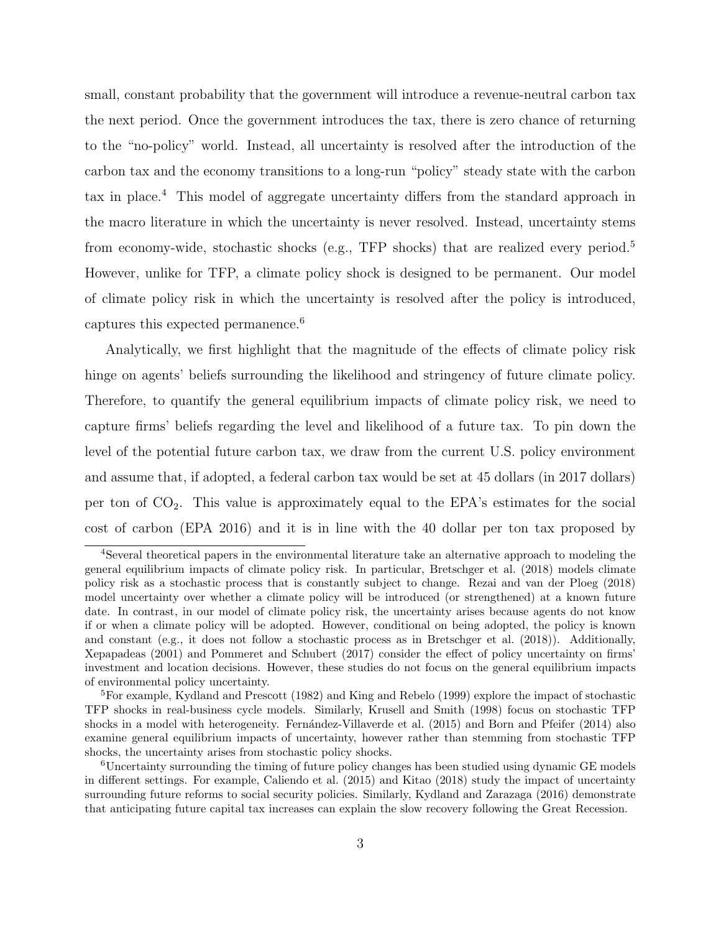small, constant probability that the government will introduce a revenue-neutral carbon tax the next period. Once the government introduces the tax, there is zero chance of returning to the "no-policy" world. Instead, all uncertainty is resolved after the introduction of the carbon tax and the economy transitions to a long-run "policy" steady state with the carbon tax in place.<sup>4</sup> This model of aggregate uncertainty differs from the standard approach in the macro literature in which the uncertainty is never resolved. Instead, uncertainty stems from economy-wide, stochastic shocks (e.g., TFP shocks) that are realized every period.<sup>5</sup> However, unlike for TFP, a climate policy shock is designed to be permanent. Our model of climate policy risk in which the uncertainty is resolved after the policy is introduced, captures this expected permanence.<sup>6</sup>

Analytically, we first highlight that the magnitude of the effects of climate policy risk hinge on agents' beliefs surrounding the likelihood and stringency of future climate policy. Therefore, to quantify the general equilibrium impacts of climate policy risk, we need to capture firms' beliefs regarding the level and likelihood of a future tax. To pin down the level of the potential future carbon tax, we draw from the current U.S. policy environment and assume that, if adopted, a federal carbon tax would be set at 45 dollars (in 2017 dollars) per ton of  $CO<sub>2</sub>$ . This value is approximately equal to the EPA's estimates for the social cost of carbon (EPA 2016) and it is in line with the 40 dollar per ton tax proposed by

<sup>4</sup>Several theoretical papers in the environmental literature take an alternative approach to modeling the general equilibrium impacts of climate policy risk. In particular, Bretschger et al. (2018) models climate policy risk as a stochastic process that is constantly subject to change. Rezai and van der Ploeg (2018) model uncertainty over whether a climate policy will be introduced (or strengthened) at a known future date. In contrast, in our model of climate policy risk, the uncertainty arises because agents do not know if or when a climate policy will be adopted. However, conditional on being adopted, the policy is known and constant (e.g., it does not follow a stochastic process as in Bretschger et al. (2018)). Additionally, Xepapadeas (2001) and Pommeret and Schubert (2017) consider the effect of policy uncertainty on firms' investment and location decisions. However, these studies do not focus on the general equilibrium impacts of environmental policy uncertainty.

<sup>5</sup>For example, Kydland and Prescott (1982) and King and Rebelo (1999) explore the impact of stochastic TFP shocks in real-business cycle models. Similarly, Krusell and Smith (1998) focus on stochastic TFP shocks in a model with heterogeneity. Fernández-Villaverde et al. (2015) and Born and Pfeifer (2014) also examine general equilibrium impacts of uncertainty, however rather than stemming from stochastic TFP shocks, the uncertainty arises from stochastic policy shocks.

<sup>6</sup>Uncertainty surrounding the timing of future policy changes has been studied using dynamic GE models in different settings. For example, Caliendo et al. (2015) and Kitao (2018) study the impact of uncertainty surrounding future reforms to social security policies. Similarly, Kydland and Zarazaga (2016) demonstrate that anticipating future capital tax increases can explain the slow recovery following the Great Recession.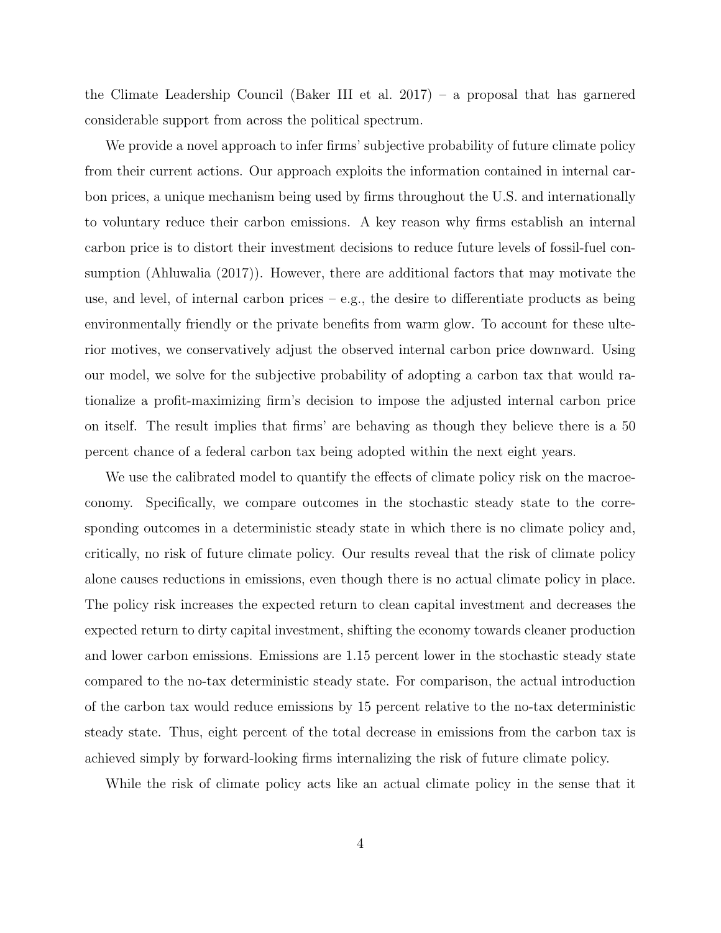the Climate Leadership Council (Baker III et al. 2017) – a proposal that has garnered considerable support from across the political spectrum.

We provide a novel approach to infer firms' subjective probability of future climate policy from their current actions. Our approach exploits the information contained in internal carbon prices, a unique mechanism being used by firms throughout the U.S. and internationally to voluntary reduce their carbon emissions. A key reason why firms establish an internal carbon price is to distort their investment decisions to reduce future levels of fossil-fuel consumption (Ahluwalia (2017)). However, there are additional factors that may motivate the use, and level, of internal carbon prices – e.g., the desire to differentiate products as being environmentally friendly or the private benefits from warm glow. To account for these ulterior motives, we conservatively adjust the observed internal carbon price downward. Using our model, we solve for the subjective probability of adopting a carbon tax that would rationalize a profit-maximizing firm's decision to impose the adjusted internal carbon price on itself. The result implies that firms' are behaving as though they believe there is a 50 percent chance of a federal carbon tax being adopted within the next eight years.

We use the calibrated model to quantify the effects of climate policy risk on the macroeconomy. Specifically, we compare outcomes in the stochastic steady state to the corresponding outcomes in a deterministic steady state in which there is no climate policy and, critically, no risk of future climate policy. Our results reveal that the risk of climate policy alone causes reductions in emissions, even though there is no actual climate policy in place. The policy risk increases the expected return to clean capital investment and decreases the expected return to dirty capital investment, shifting the economy towards cleaner production and lower carbon emissions. Emissions are 1.15 percent lower in the stochastic steady state compared to the no-tax deterministic steady state. For comparison, the actual introduction of the carbon tax would reduce emissions by 15 percent relative to the no-tax deterministic steady state. Thus, eight percent of the total decrease in emissions from the carbon tax is achieved simply by forward-looking firms internalizing the risk of future climate policy.

While the risk of climate policy acts like an actual climate policy in the sense that it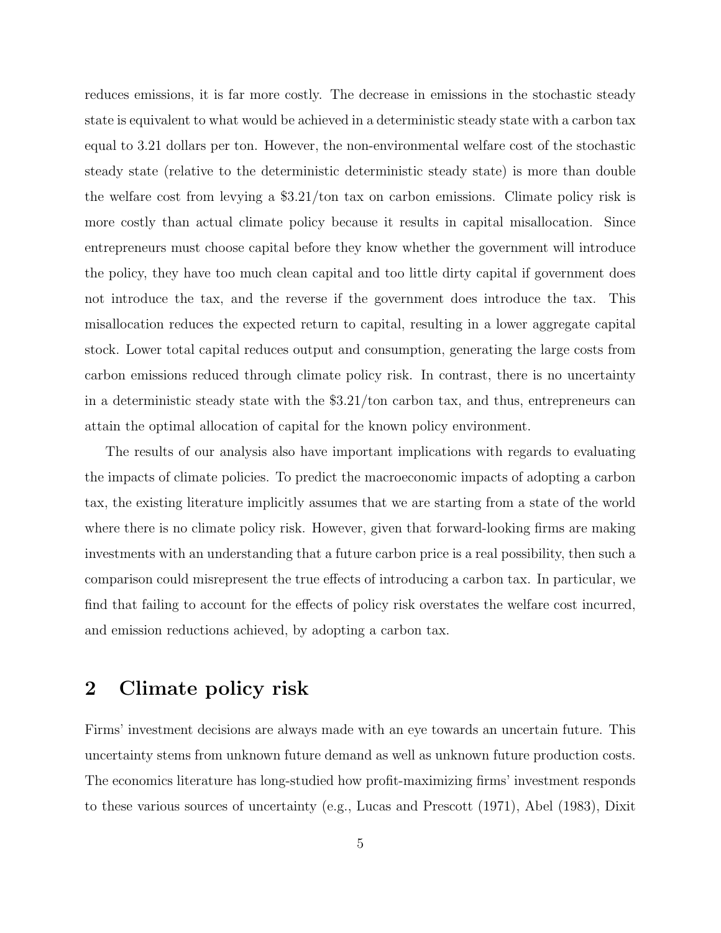reduces emissions, it is far more costly. The decrease in emissions in the stochastic steady state is equivalent to what would be achieved in a deterministic steady state with a carbon tax equal to 3.21 dollars per ton. However, the non-environmental welfare cost of the stochastic steady state (relative to the deterministic deterministic steady state) is more than double the welfare cost from levying a \$3.21/ton tax on carbon emissions. Climate policy risk is more costly than actual climate policy because it results in capital misallocation. Since entrepreneurs must choose capital before they know whether the government will introduce the policy, they have too much clean capital and too little dirty capital if government does not introduce the tax, and the reverse if the government does introduce the tax. This misallocation reduces the expected return to capital, resulting in a lower aggregate capital stock. Lower total capital reduces output and consumption, generating the large costs from carbon emissions reduced through climate policy risk. In contrast, there is no uncertainty in a deterministic steady state with the \$3.21/ton carbon tax, and thus, entrepreneurs can attain the optimal allocation of capital for the known policy environment.

The results of our analysis also have important implications with regards to evaluating the impacts of climate policies. To predict the macroeconomic impacts of adopting a carbon tax, the existing literature implicitly assumes that we are starting from a state of the world where there is no climate policy risk. However, given that forward-looking firms are making investments with an understanding that a future carbon price is a real possibility, then such a comparison could misrepresent the true effects of introducing a carbon tax. In particular, we find that failing to account for the effects of policy risk overstates the welfare cost incurred, and emission reductions achieved, by adopting a carbon tax.

### 2 Climate policy risk

Firms' investment decisions are always made with an eye towards an uncertain future. This uncertainty stems from unknown future demand as well as unknown future production costs. The economics literature has long-studied how profit-maximizing firms' investment responds to these various sources of uncertainty (e.g., Lucas and Prescott (1971), Abel (1983), Dixit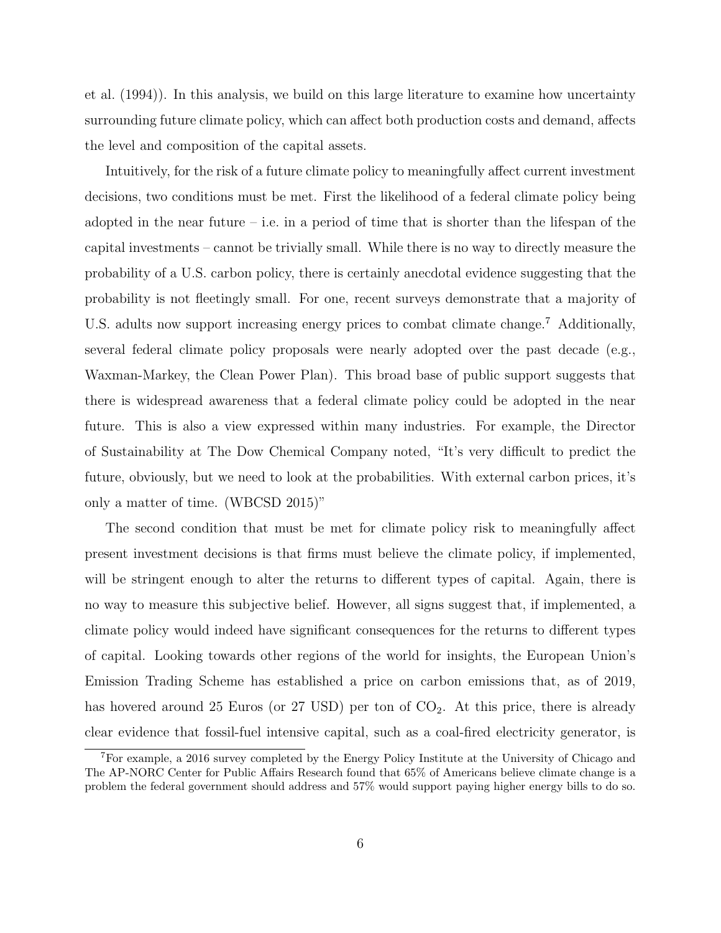et al. (1994)). In this analysis, we build on this large literature to examine how uncertainty surrounding future climate policy, which can affect both production costs and demand, affects the level and composition of the capital assets.

Intuitively, for the risk of a future climate policy to meaningfully affect current investment decisions, two conditions must be met. First the likelihood of a federal climate policy being adopted in the near future – i.e. in a period of time that is shorter than the lifespan of the capital investments – cannot be trivially small. While there is no way to directly measure the probability of a U.S. carbon policy, there is certainly anecdotal evidence suggesting that the probability is not fleetingly small. For one, recent surveys demonstrate that a majority of U.S. adults now support increasing energy prices to combat climate change.<sup>7</sup> Additionally, several federal climate policy proposals were nearly adopted over the past decade (e.g., Waxman-Markey, the Clean Power Plan). This broad base of public support suggests that there is widespread awareness that a federal climate policy could be adopted in the near future. This is also a view expressed within many industries. For example, the Director of Sustainability at The Dow Chemical Company noted, "It's very difficult to predict the future, obviously, but we need to look at the probabilities. With external carbon prices, it's only a matter of time. (WBCSD 2015)"

The second condition that must be met for climate policy risk to meaningfully affect present investment decisions is that firms must believe the climate policy, if implemented, will be stringent enough to alter the returns to different types of capital. Again, there is no way to measure this subjective belief. However, all signs suggest that, if implemented, a climate policy would indeed have significant consequences for the returns to different types of capital. Looking towards other regions of the world for insights, the European Union's Emission Trading Scheme has established a price on carbon emissions that, as of 2019, has hovered around 25 Euros (or  $27 \text{ USD}$ ) per ton of  $CO_2$ . At this price, there is already clear evidence that fossil-fuel intensive capital, such as a coal-fired electricity generator, is

<sup>7</sup>For example, a 2016 survey completed by the Energy Policy Institute at the University of Chicago and The AP-NORC Center for Public Affairs Research found that 65% of Americans believe climate change is a problem the federal government should address and 57% would support paying higher energy bills to do so.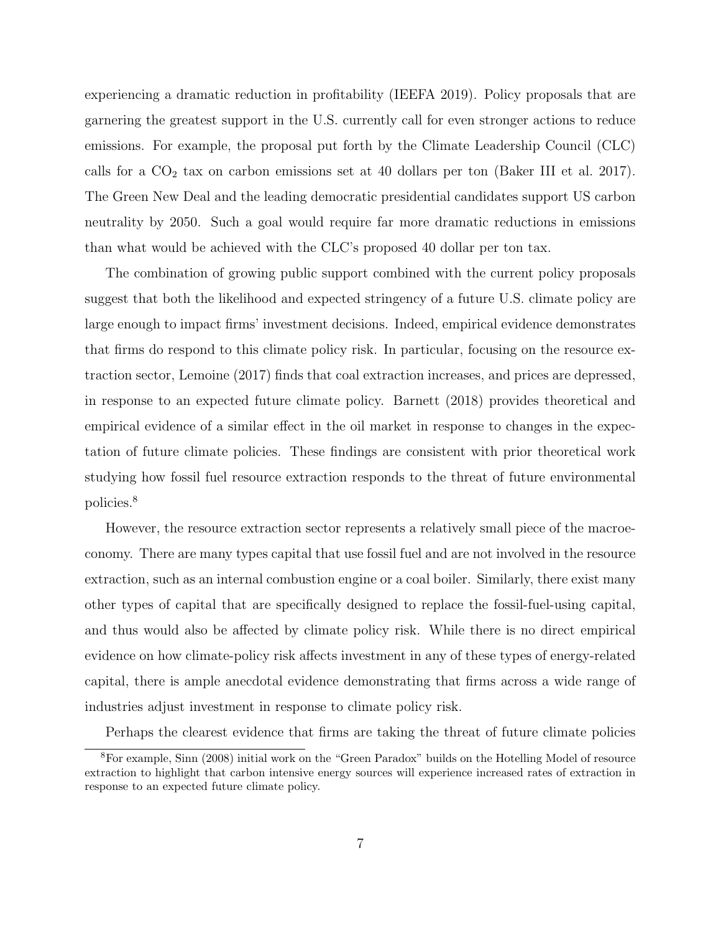experiencing a dramatic reduction in profitability (IEEFA 2019). Policy proposals that are garnering the greatest support in the U.S. currently call for even stronger actions to reduce emissions. For example, the proposal put forth by the Climate Leadership Council (CLC) calls for a  $CO<sub>2</sub>$  tax on carbon emissions set at 40 dollars per ton (Baker III et al. 2017). The Green New Deal and the leading democratic presidential candidates support US carbon neutrality by 2050. Such a goal would require far more dramatic reductions in emissions than what would be achieved with the CLC's proposed 40 dollar per ton tax.

The combination of growing public support combined with the current policy proposals suggest that both the likelihood and expected stringency of a future U.S. climate policy are large enough to impact firms' investment decisions. Indeed, empirical evidence demonstrates that firms do respond to this climate policy risk. In particular, focusing on the resource extraction sector, Lemoine (2017) finds that coal extraction increases, and prices are depressed, in response to an expected future climate policy. Barnett (2018) provides theoretical and empirical evidence of a similar effect in the oil market in response to changes in the expectation of future climate policies. These findings are consistent with prior theoretical work studying how fossil fuel resource extraction responds to the threat of future environmental policies.<sup>8</sup>

However, the resource extraction sector represents a relatively small piece of the macroeconomy. There are many types capital that use fossil fuel and are not involved in the resource extraction, such as an internal combustion engine or a coal boiler. Similarly, there exist many other types of capital that are specifically designed to replace the fossil-fuel-using capital, and thus would also be affected by climate policy risk. While there is no direct empirical evidence on how climate-policy risk affects investment in any of these types of energy-related capital, there is ample anecdotal evidence demonstrating that firms across a wide range of industries adjust investment in response to climate policy risk.

Perhaps the clearest evidence that firms are taking the threat of future climate policies

<sup>8</sup>For example, Sinn (2008) initial work on the "Green Paradox" builds on the Hotelling Model of resource extraction to highlight that carbon intensive energy sources will experience increased rates of extraction in response to an expected future climate policy.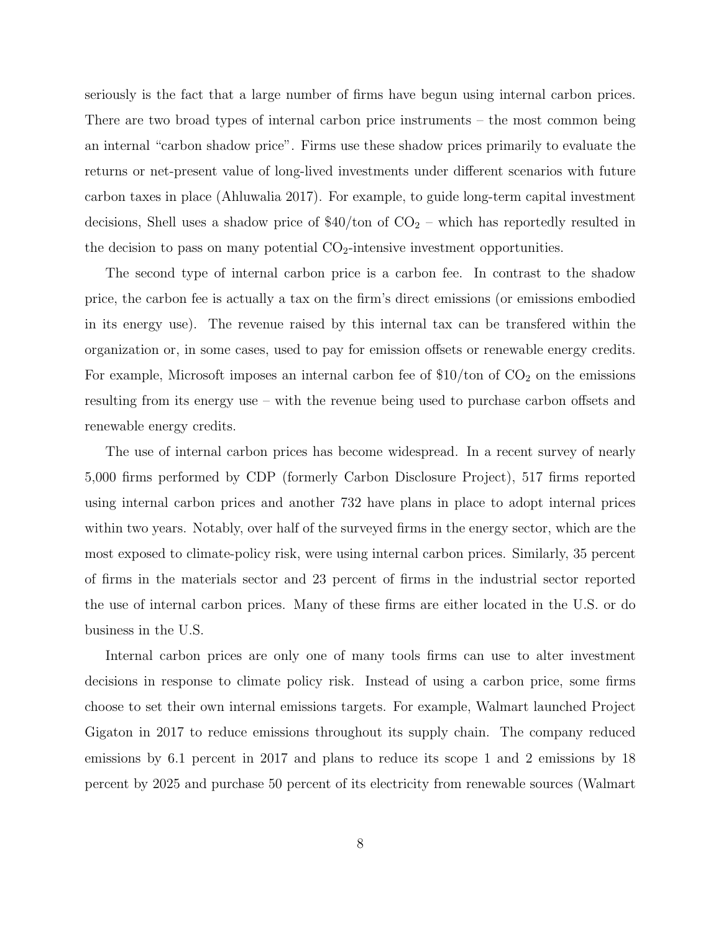seriously is the fact that a large number of firms have begun using internal carbon prices. There are two broad types of internal carbon price instruments – the most common being an internal "carbon shadow price". Firms use these shadow prices primarily to evaluate the returns or net-present value of long-lived investments under different scenarios with future carbon taxes in place (Ahluwalia 2017). For example, to guide long-term capital investment decisions, Shell uses a shadow price of  $$40/t$ on of  $CO<sub>2</sub>$  – which has reportedly resulted in the decision to pass on many potential  $CO<sub>2</sub>$ -intensive investment opportunities.

The second type of internal carbon price is a carbon fee. In contrast to the shadow price, the carbon fee is actually a tax on the firm's direct emissions (or emissions embodied in its energy use). The revenue raised by this internal tax can be transfered within the organization or, in some cases, used to pay for emission offsets or renewable energy credits. For example, Microsoft imposes an internal carbon fee of  $$10/t$ on of  $CO<sub>2</sub>$  on the emissions resulting from its energy use – with the revenue being used to purchase carbon offsets and renewable energy credits.

The use of internal carbon prices has become widespread. In a recent survey of nearly 5,000 firms performed by CDP (formerly Carbon Disclosure Project), 517 firms reported using internal carbon prices and another 732 have plans in place to adopt internal prices within two years. Notably, over half of the surveyed firms in the energy sector, which are the most exposed to climate-policy risk, were using internal carbon prices. Similarly, 35 percent of firms in the materials sector and 23 percent of firms in the industrial sector reported the use of internal carbon prices. Many of these firms are either located in the U.S. or do business in the U.S.

Internal carbon prices are only one of many tools firms can use to alter investment decisions in response to climate policy risk. Instead of using a carbon price, some firms choose to set their own internal emissions targets. For example, Walmart launched Project Gigaton in 2017 to reduce emissions throughout its supply chain. The company reduced emissions by 6.1 percent in 2017 and plans to reduce its scope 1 and 2 emissions by 18 percent by 2025 and purchase 50 percent of its electricity from renewable sources (Walmart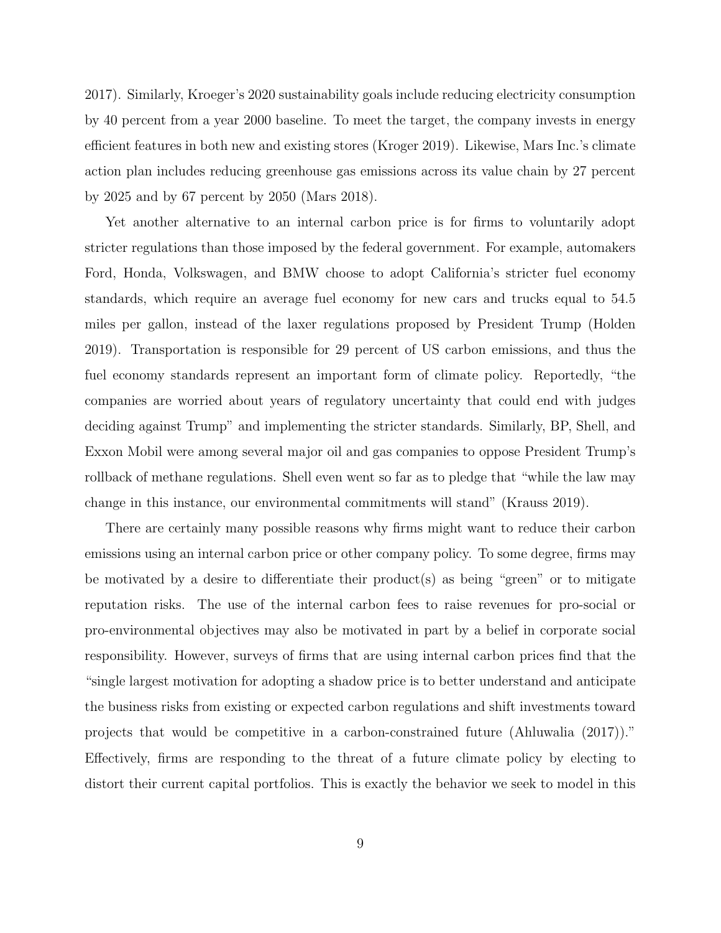2017). Similarly, Kroeger's 2020 sustainability goals include reducing electricity consumption by 40 percent from a year 2000 baseline. To meet the target, the company invests in energy efficient features in both new and existing stores (Kroger 2019). Likewise, Mars Inc.'s climate action plan includes reducing greenhouse gas emissions across its value chain by 27 percent by 2025 and by 67 percent by 2050 (Mars 2018).

Yet another alternative to an internal carbon price is for firms to voluntarily adopt stricter regulations than those imposed by the federal government. For example, automakers Ford, Honda, Volkswagen, and BMW choose to adopt California's stricter fuel economy standards, which require an average fuel economy for new cars and trucks equal to 54.5 miles per gallon, instead of the laxer regulations proposed by President Trump (Holden 2019). Transportation is responsible for 29 percent of US carbon emissions, and thus the fuel economy standards represent an important form of climate policy. Reportedly, "the companies are worried about years of regulatory uncertainty that could end with judges deciding against Trump" and implementing the stricter standards. Similarly, BP, Shell, and Exxon Mobil were among several major oil and gas companies to oppose President Trump's rollback of methane regulations. Shell even went so far as to pledge that "while the law may change in this instance, our environmental commitments will stand" (Krauss 2019).

There are certainly many possible reasons why firms might want to reduce their carbon emissions using an internal carbon price or other company policy. To some degree, firms may be motivated by a desire to differentiate their  $product(s)$  as being "green" or to mitigate reputation risks. The use of the internal carbon fees to raise revenues for pro-social or pro-environmental objectives may also be motivated in part by a belief in corporate social responsibility. However, surveys of firms that are using internal carbon prices find that the "single largest motivation for adopting a shadow price is to better understand and anticipate the business risks from existing or expected carbon regulations and shift investments toward projects that would be competitive in a carbon-constrained future (Ahluwalia (2017))." Effectively, firms are responding to the threat of a future climate policy by electing to distort their current capital portfolios. This is exactly the behavior we seek to model in this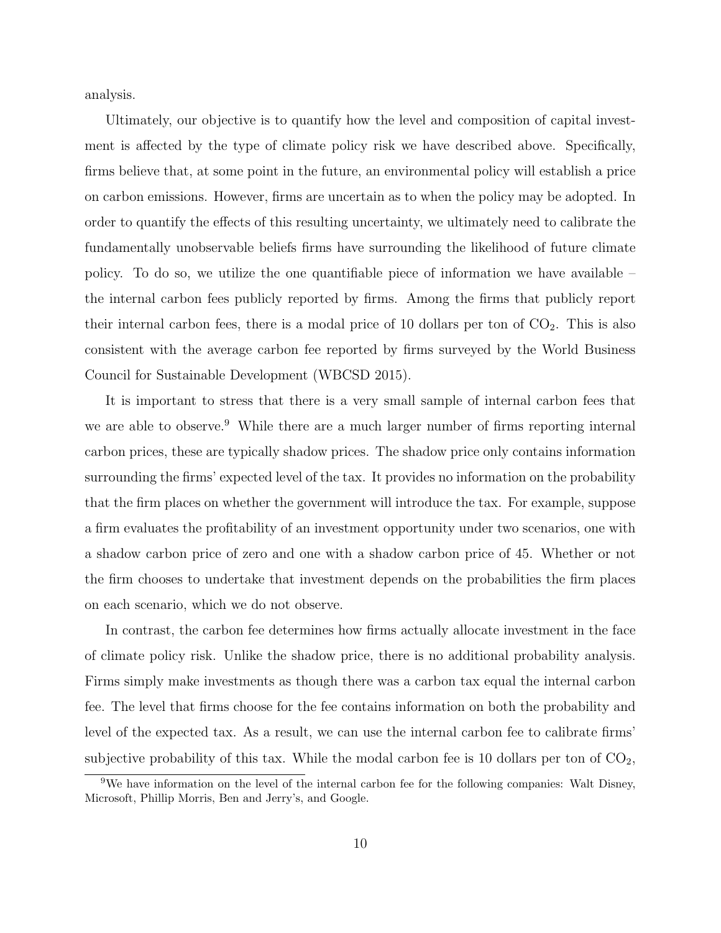analysis.

Ultimately, our objective is to quantify how the level and composition of capital investment is affected by the type of climate policy risk we have described above. Specifically, firms believe that, at some point in the future, an environmental policy will establish a price on carbon emissions. However, firms are uncertain as to when the policy may be adopted. In order to quantify the effects of this resulting uncertainty, we ultimately need to calibrate the fundamentally unobservable beliefs firms have surrounding the likelihood of future climate policy. To do so, we utilize the one quantifiable piece of information we have available – the internal carbon fees publicly reported by firms. Among the firms that publicly report their internal carbon fees, there is a modal price of 10 dollars per ton of  $CO<sub>2</sub>$ . This is also consistent with the average carbon fee reported by firms surveyed by the World Business Council for Sustainable Development (WBCSD 2015).

It is important to stress that there is a very small sample of internal carbon fees that we are able to observe.<sup>9</sup> While there are a much larger number of firms reporting internal carbon prices, these are typically shadow prices. The shadow price only contains information surrounding the firms' expected level of the tax. It provides no information on the probability that the firm places on whether the government will introduce the tax. For example, suppose a firm evaluates the profitability of an investment opportunity under two scenarios, one with a shadow carbon price of zero and one with a shadow carbon price of 45. Whether or not the firm chooses to undertake that investment depends on the probabilities the firm places on each scenario, which we do not observe.

In contrast, the carbon fee determines how firms actually allocate investment in the face of climate policy risk. Unlike the shadow price, there is no additional probability analysis. Firms simply make investments as though there was a carbon tax equal the internal carbon fee. The level that firms choose for the fee contains information on both the probability and level of the expected tax. As a result, we can use the internal carbon fee to calibrate firms' subjective probability of this tax. While the modal carbon fee is 10 dollars per ton of  $CO<sub>2</sub>$ ,

<sup>9</sup>We have information on the level of the internal carbon fee for the following companies: Walt Disney, Microsoft, Phillip Morris, Ben and Jerry's, and Google.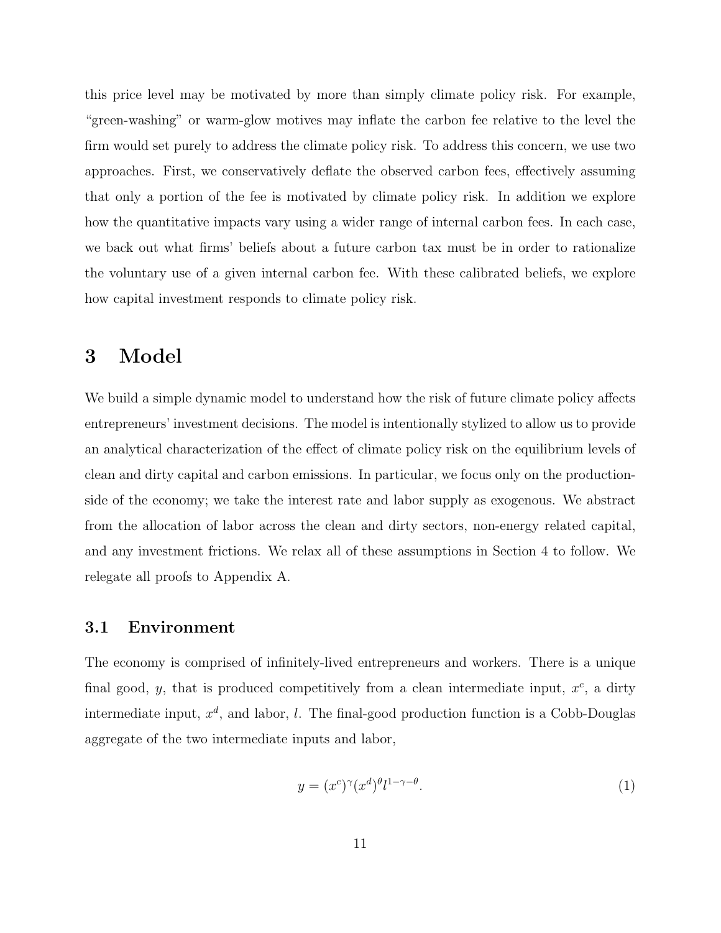this price level may be motivated by more than simply climate policy risk. For example, "green-washing" or warm-glow motives may inflate the carbon fee relative to the level the firm would set purely to address the climate policy risk. To address this concern, we use two approaches. First, we conservatively deflate the observed carbon fees, effectively assuming that only a portion of the fee is motivated by climate policy risk. In addition we explore how the quantitative impacts vary using a wider range of internal carbon fees. In each case, we back out what firms' beliefs about a future carbon tax must be in order to rationalize the voluntary use of a given internal carbon fee. With these calibrated beliefs, we explore how capital investment responds to climate policy risk.

### 3 Model

We build a simple dynamic model to understand how the risk of future climate policy affects entrepreneurs' investment decisions. The model is intentionally stylized to allow us to provide an analytical characterization of the effect of climate policy risk on the equilibrium levels of clean and dirty capital and carbon emissions. In particular, we focus only on the productionside of the economy; we take the interest rate and labor supply as exogenous. We abstract from the allocation of labor across the clean and dirty sectors, non-energy related capital, and any investment frictions. We relax all of these assumptions in Section 4 to follow. We relegate all proofs to Appendix A.

#### 3.1 Environment

The economy is comprised of infinitely-lived entrepreneurs and workers. There is a unique final good, y, that is produced competitively from a clean intermediate input,  $x^c$ , a dirty intermediate input,  $x^d$ , and labor, l. The final-good production function is a Cobb-Douglas aggregate of the two intermediate inputs and labor,

$$
y = (x^c)^\gamma (x^d)^{\theta} l^{1-\gamma-\theta}.
$$
 (1)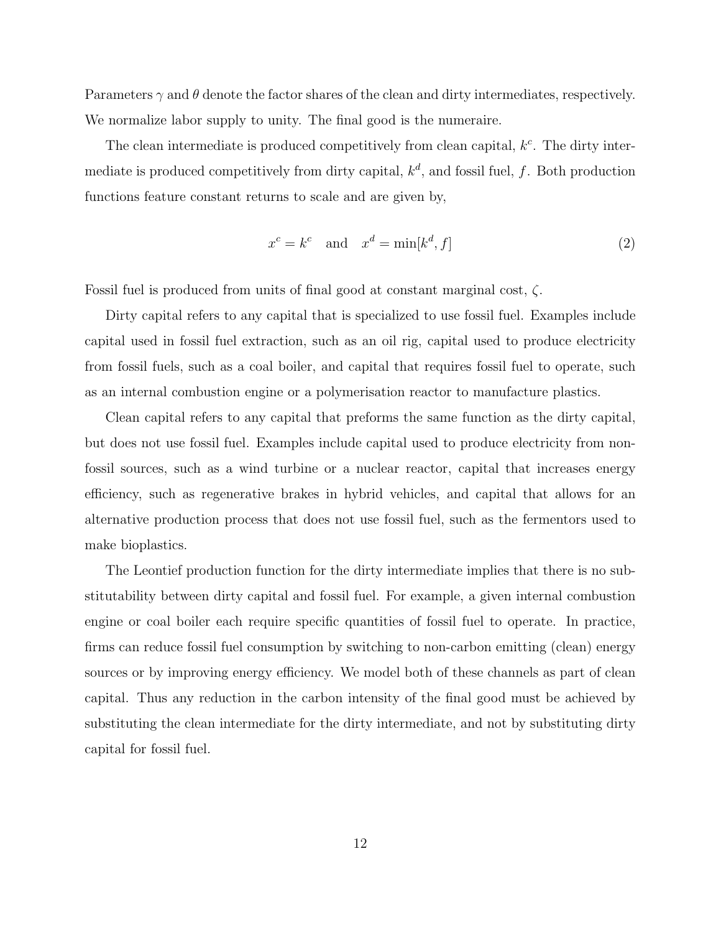Parameters  $\gamma$  and  $\theta$  denote the factor shares of the clean and dirty intermediates, respectively. We normalize labor supply to unity. The final good is the numeraire.

The clean intermediate is produced competitively from clean capital,  $k<sup>c</sup>$ . The dirty intermediate is produced competitively from dirty capital,  $k^d$ , and fossil fuel, f. Both production functions feature constant returns to scale and are given by,

$$
x^{c} = k^{c} \quad \text{and} \quad x^{d} = \min[k^{d}, f] \tag{2}
$$

Fossil fuel is produced from units of final good at constant marginal cost,  $\zeta$ .

Dirty capital refers to any capital that is specialized to use fossil fuel. Examples include capital used in fossil fuel extraction, such as an oil rig, capital used to produce electricity from fossil fuels, such as a coal boiler, and capital that requires fossil fuel to operate, such as an internal combustion engine or a polymerisation reactor to manufacture plastics.

Clean capital refers to any capital that preforms the same function as the dirty capital, but does not use fossil fuel. Examples include capital used to produce electricity from nonfossil sources, such as a wind turbine or a nuclear reactor, capital that increases energy efficiency, such as regenerative brakes in hybrid vehicles, and capital that allows for an alternative production process that does not use fossil fuel, such as the fermentors used to make bioplastics.

The Leontief production function for the dirty intermediate implies that there is no substitutability between dirty capital and fossil fuel. For example, a given internal combustion engine or coal boiler each require specific quantities of fossil fuel to operate. In practice, firms can reduce fossil fuel consumption by switching to non-carbon emitting (clean) energy sources or by improving energy efficiency. We model both of these channels as part of clean capital. Thus any reduction in the carbon intensity of the final good must be achieved by substituting the clean intermediate for the dirty intermediate, and not by substituting dirty capital for fossil fuel.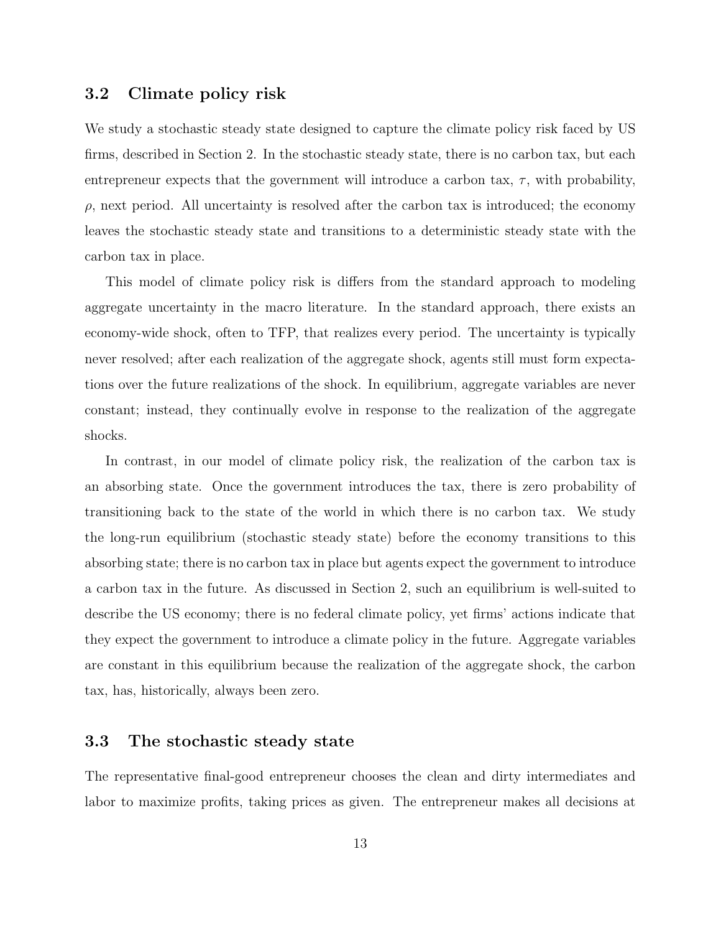### 3.2 Climate policy risk

We study a stochastic steady state designed to capture the climate policy risk faced by US firms, described in Section 2. In the stochastic steady state, there is no carbon tax, but each entrepreneur expects that the government will introduce a carbon tax,  $\tau$ , with probability,  $\rho$ , next period. All uncertainty is resolved after the carbon tax is introduced; the economy leaves the stochastic steady state and transitions to a deterministic steady state with the carbon tax in place.

This model of climate policy risk is differs from the standard approach to modeling aggregate uncertainty in the macro literature. In the standard approach, there exists an economy-wide shock, often to TFP, that realizes every period. The uncertainty is typically never resolved; after each realization of the aggregate shock, agents still must form expectations over the future realizations of the shock. In equilibrium, aggregate variables are never constant; instead, they continually evolve in response to the realization of the aggregate shocks.

In contrast, in our model of climate policy risk, the realization of the carbon tax is an absorbing state. Once the government introduces the tax, there is zero probability of transitioning back to the state of the world in which there is no carbon tax. We study the long-run equilibrium (stochastic steady state) before the economy transitions to this absorbing state; there is no carbon tax in place but agents expect the government to introduce a carbon tax in the future. As discussed in Section 2, such an equilibrium is well-suited to describe the US economy; there is no federal climate policy, yet firms' actions indicate that they expect the government to introduce a climate policy in the future. Aggregate variables are constant in this equilibrium because the realization of the aggregate shock, the carbon tax, has, historically, always been zero.

### 3.3 The stochastic steady state

The representative final-good entrepreneur chooses the clean and dirty intermediates and labor to maximize profits, taking prices as given. The entrepreneur makes all decisions at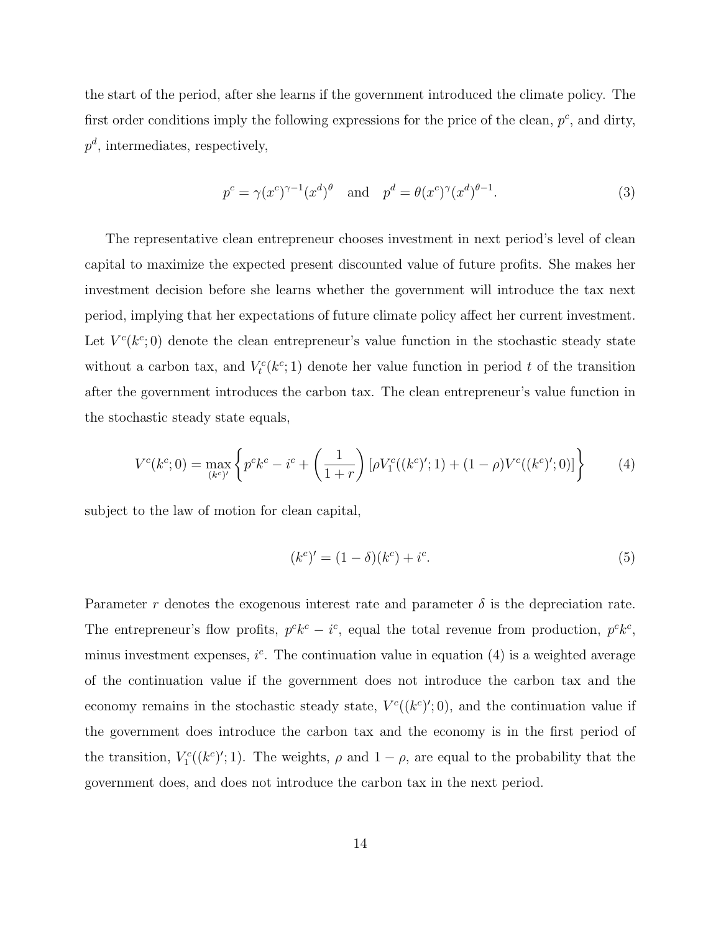the start of the period, after she learns if the government introduced the climate policy. The first order conditions imply the following expressions for the price of the clean,  $p^c$ , and dirty,  $p^d$ , intermediates, respectively,

$$
p^{c} = \gamma(x^{c})^{\gamma - 1}(x^{d})^{\theta} \quad \text{and} \quad p^{d} = \theta(x^{c})^{\gamma}(x^{d})^{\theta - 1}.
$$
 (3)

The representative clean entrepreneur chooses investment in next period's level of clean capital to maximize the expected present discounted value of future profits. She makes her investment decision before she learns whether the government will introduce the tax next period, implying that her expectations of future climate policy affect her current investment. Let  $V^c(k^c; 0)$  denote the clean entrepreneur's value function in the stochastic steady state without a carbon tax, and  $V_t^c(k^c; 1)$  denote her value function in period t of the transition after the government introduces the carbon tax. The clean entrepreneur's value function in the stochastic steady state equals,

$$
V^{c}(k^{c};0) = \max_{(k^{c})'} \left\{ p^{c}k^{c} - i^{c} + \left(\frac{1}{1+r}\right) \left[ \rho V_{1}^{c}((k^{c})';1) + (1-\rho)V^{c}((k^{c})';0) \right] \right\}
$$
(4)

subject to the law of motion for clean capital,

$$
(k^{c})' = (1 - \delta)(k^{c}) + i^{c}.
$$
\n(5)

Parameter r denotes the exogenous interest rate and parameter  $\delta$  is the depreciation rate. The entrepreneur's flow profits,  $p^c k^c - i^c$ , equal the total revenue from production,  $p^c k^c$ , minus investment expenses,  $i^c$ . The continuation value in equation (4) is a weighted average of the continuation value if the government does not introduce the carbon tax and the economy remains in the stochastic steady state,  $V^c((k^c)';0)$ , and the continuation value if the government does introduce the carbon tax and the economy is in the first period of the transition,  $V_1^c((k^c)';1)$ . The weights,  $\rho$  and  $1-\rho$ , are equal to the probability that the government does, and does not introduce the carbon tax in the next period.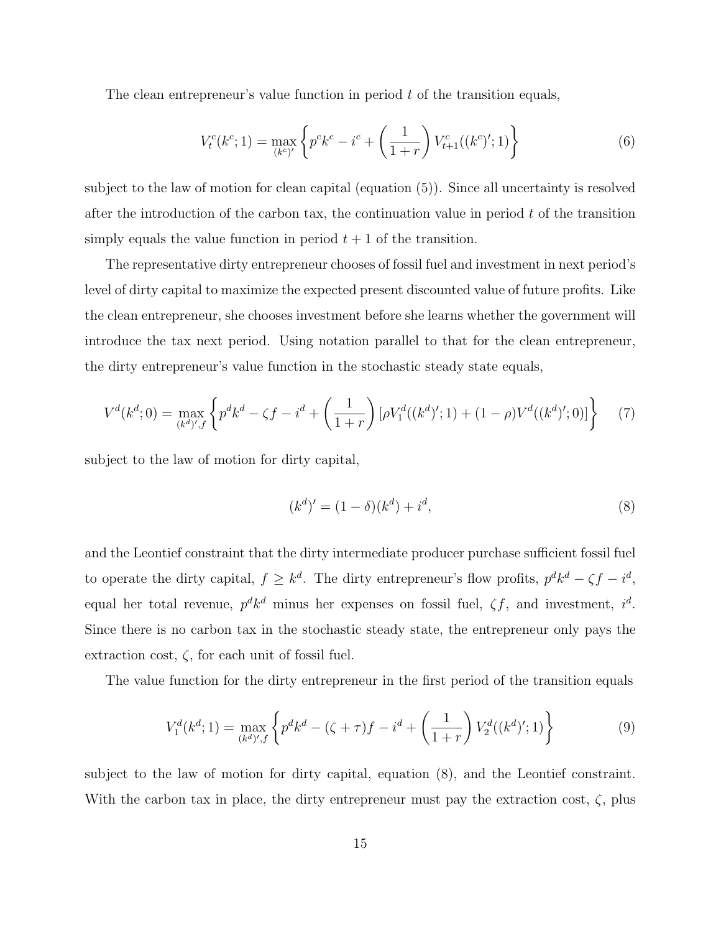The clean entrepreneur's value function in period  $t$  of the transition equals,

$$
V_t^c(k^c; 1) = \max_{(k^c)'} \left\{ p^c k^c - i^c + \left(\frac{1}{1+r}\right) V_{t+1}^c((k^c)'; 1) \right\} \tag{6}
$$

subject to the law of motion for clean capital (equation (5)). Since all uncertainty is resolved after the introduction of the carbon tax, the continuation value in period  $t$  of the transition simply equals the value function in period  $t + 1$  of the transition.

The representative dirty entrepreneur chooses of fossil fuel and investment in next period's level of dirty capital to maximize the expected present discounted value of future profits. Like the clean entrepreneur, she chooses investment before she learns whether the government will introduce the tax next period. Using notation parallel to that for the clean entrepreneur, the dirty entrepreneur's value function in the stochastic steady state equals,

$$
V^{d}(k^{d};0) = \max_{(k^{d})',f} \left\{ p^{d}k^{d} - \zeta f - i^{d} + \left(\frac{1}{1+r}\right) [\rho V_{1}^{d}((k^{d})';1) + (1-\rho)V^{d}((k^{d})';0)] \right\}
$$
(7)

subject to the law of motion for dirty capital,

$$
(k^d)' = (1 - \delta)(k^d) + i^d,
$$
\n(8)

and the Leontief constraint that the dirty intermediate producer purchase sufficient fossil fuel to operate the dirty capital,  $f \geq k^d$ . The dirty entrepreneur's flow profits,  $p^d k^d - \zeta f - i^d$ , equal her total revenue,  $p^d k^d$  minus her expenses on fossil fuel,  $\zeta f$ , and investment,  $i^d$ . Since there is no carbon tax in the stochastic steady state, the entrepreneur only pays the extraction cost,  $\zeta$ , for each unit of fossil fuel.

The value function for the dirty entrepreneur in the first period of the transition equals

$$
V_1^d(k^d; 1) = \max_{(k^d)' , f} \left\{ p^d k^d - (\zeta + \tau) f - i^d + \left( \frac{1}{1+r} \right) V_2^d((k^d)'; 1) \right\} \tag{9}
$$

subject to the law of motion for dirty capital, equation (8), and the Leontief constraint. With the carbon tax in place, the dirty entrepreneur must pay the extraction cost,  $\zeta$ , plus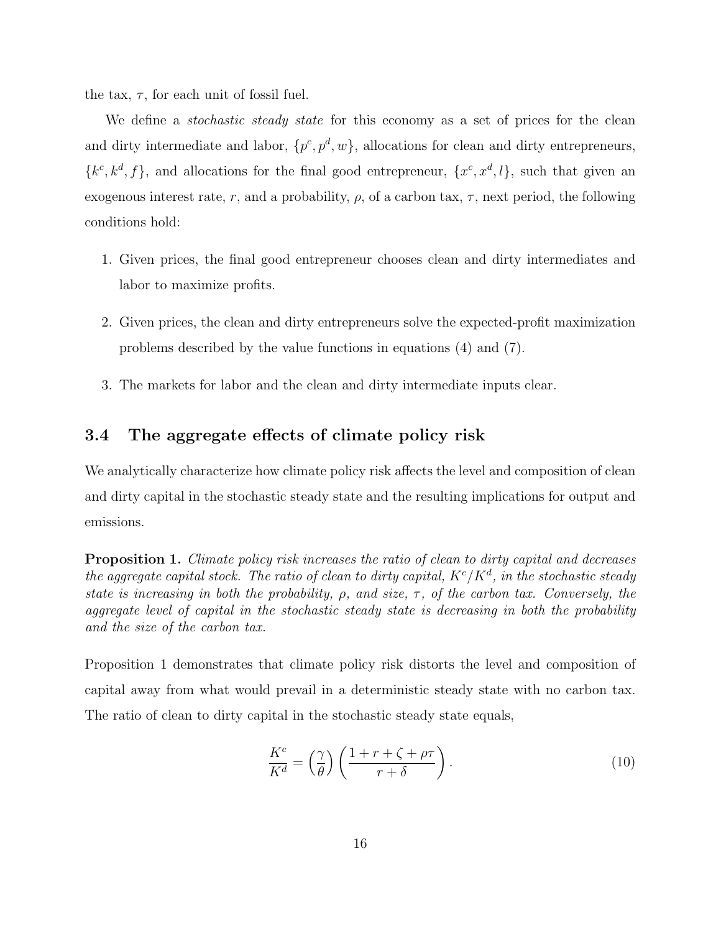the tax,  $\tau$ , for each unit of fossil fuel.

We define a *stochastic steady state* for this economy as a set of prices for the clean and dirty intermediate and labor,  $\{p^c, p^d, w\}$ , allocations for clean and dirty entrepreneurs,  ${k^c, k^d, f}$ , and allocations for the final good entrepreneur,  ${x^c, x^d, l}$ , such that given an exogenous interest rate, r, and a probability,  $\rho$ , of a carbon tax,  $\tau$ , next period, the following conditions hold:

- 1. Given prices, the final good entrepreneur chooses clean and dirty intermediates and labor to maximize profits.
- 2. Given prices, the clean and dirty entrepreneurs solve the expected-profit maximization problems described by the value functions in equations (4) and (7).
- 3. The markets for labor and the clean and dirty intermediate inputs clear.

### 3.4 The aggregate effects of climate policy risk

We analytically characterize how climate policy risk affects the level and composition of clean and dirty capital in the stochastic steady state and the resulting implications for output and emissions.

**Proposition 1.** Climate policy risk increases the ratio of clean to dirty capital and decreases the aggregate capital stock. The ratio of clean to dirty capital,  $K^{c}/K^{d}$ , in the stochastic steady state is increasing in both the probability,  $\rho$ , and size,  $\tau$ , of the carbon tax. Conversely, the aggregate level of capital in the stochastic steady state is decreasing in both the probability and the size of the carbon tax.

Proposition 1 demonstrates that climate policy risk distorts the level and composition of capital away from what would prevail in a deterministic steady state with no carbon tax. The ratio of clean to dirty capital in the stochastic steady state equals,

$$
\frac{K^c}{K^d} = \left(\frac{\gamma}{\theta}\right) \left(\frac{1+r+\zeta+\rho\tau}{r+\delta}\right). \tag{10}
$$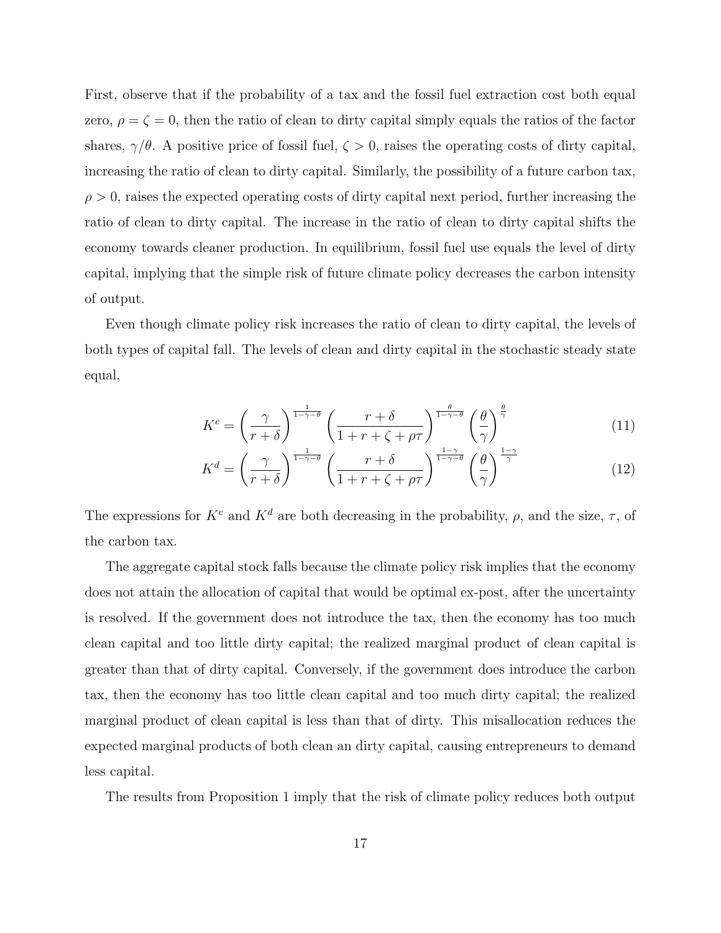First, observe that if the probability of a tax and the fossil fuel extraction cost both equal zero,  $\rho = \zeta = 0$ , then the ratio of clean to dirty capital simply equals the ratios of the factor shares,  $\gamma/\theta$ . A positive price of fossil fuel,  $\zeta > 0$ , raises the operating costs of dirty capital, increasing the ratio of clean to dirty capital. Similarly, the possibility of a future carbon tax,  $\rho > 0$ , raises the expected operating costs of dirty capital next period, further increasing the ratio of clean to dirty capital. The increase in the ratio of clean to dirty capital shifts the economy towards cleaner production. In equilibrium, fossil fuel use equals the level of dirty capital, implying that the simple risk of future climate policy decreases the carbon intensity of output.

Even though climate policy risk increases the ratio of clean to dirty capital, the levels of both types of capital fall. The levels of clean and dirty capital in the stochastic steady state equal,

$$
K^{c} = \left(\frac{\gamma}{r+\delta}\right)^{\frac{1}{1-\gamma-\theta}} \left(\frac{r+\delta}{1+r+\zeta+\rho\tau}\right)^{\frac{\theta}{1-\gamma-\theta}} \left(\frac{\theta}{\gamma}\right)^{\frac{\theta}{\gamma}}
$$
(11)

$$
K^{d} = \left(\frac{\gamma}{r+\delta}\right)^{\frac{1}{1-\gamma-\theta}} \left(\frac{r+\delta}{1+r+\zeta+\rho\tau}\right)^{\frac{1-\gamma}{1-\gamma-\theta}} \left(\frac{\theta}{\gamma}\right)^{\frac{1-\gamma}{\gamma}}
$$
(12)

The expressions for  $K^c$  and  $K^d$  are both decreasing in the probability,  $\rho$ , and the size,  $\tau$ , of the carbon tax.

The aggregate capital stock falls because the climate policy risk implies that the economy does not attain the allocation of capital that would be optimal ex-post, after the uncertainty is resolved. If the government does not introduce the tax, then the economy has too much clean capital and too little dirty capital; the realized marginal product of clean capital is greater than that of dirty capital. Conversely, if the government does introduce the carbon tax, then the economy has too little clean capital and too much dirty capital; the realized marginal product of clean capital is less than that of dirty. This misallocation reduces the expected marginal products of both clean an dirty capital, causing entrepreneurs to demand less capital.

The results from Proposition 1 imply that the risk of climate policy reduces both output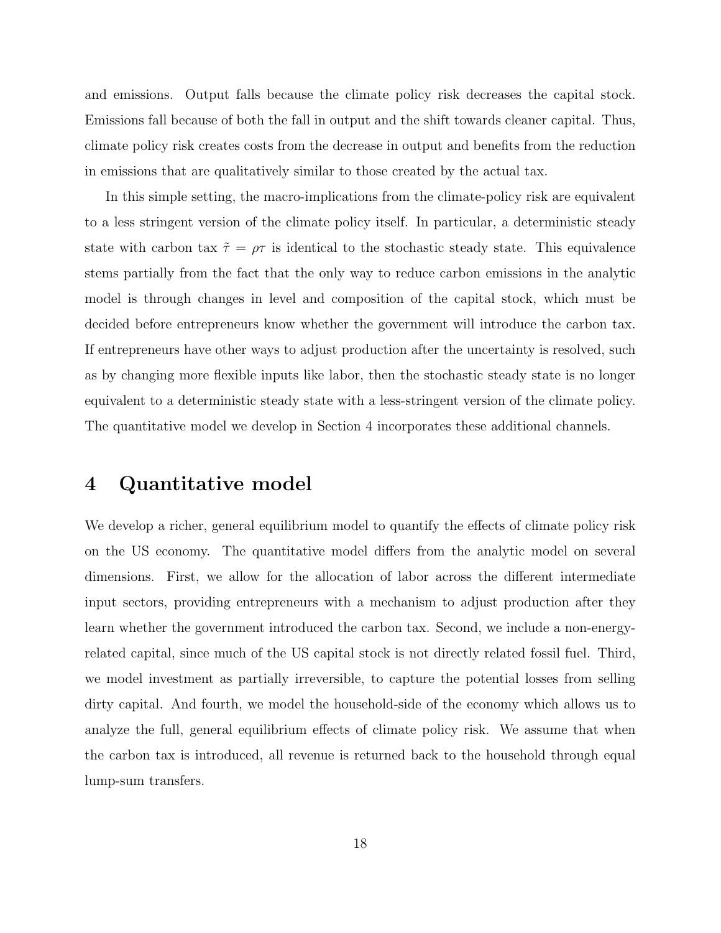and emissions. Output falls because the climate policy risk decreases the capital stock. Emissions fall because of both the fall in output and the shift towards cleaner capital. Thus, climate policy risk creates costs from the decrease in output and benefits from the reduction in emissions that are qualitatively similar to those created by the actual tax.

In this simple setting, the macro-implications from the climate-policy risk are equivalent to a less stringent version of the climate policy itself. In particular, a deterministic steady state with carbon tax  $\tilde{\tau} = \rho \tau$  is identical to the stochastic steady state. This equivalence stems partially from the fact that the only way to reduce carbon emissions in the analytic model is through changes in level and composition of the capital stock, which must be decided before entrepreneurs know whether the government will introduce the carbon tax. If entrepreneurs have other ways to adjust production after the uncertainty is resolved, such as by changing more flexible inputs like labor, then the stochastic steady state is no longer equivalent to a deterministic steady state with a less-stringent version of the climate policy. The quantitative model we develop in Section 4 incorporates these additional channels.

### 4 Quantitative model

We develop a richer, general equilibrium model to quantify the effects of climate policy risk on the US economy. The quantitative model differs from the analytic model on several dimensions. First, we allow for the allocation of labor across the different intermediate input sectors, providing entrepreneurs with a mechanism to adjust production after they learn whether the government introduced the carbon tax. Second, we include a non-energyrelated capital, since much of the US capital stock is not directly related fossil fuel. Third, we model investment as partially irreversible, to capture the potential losses from selling dirty capital. And fourth, we model the household-side of the economy which allows us to analyze the full, general equilibrium effects of climate policy risk. We assume that when the carbon tax is introduced, all revenue is returned back to the household through equal lump-sum transfers.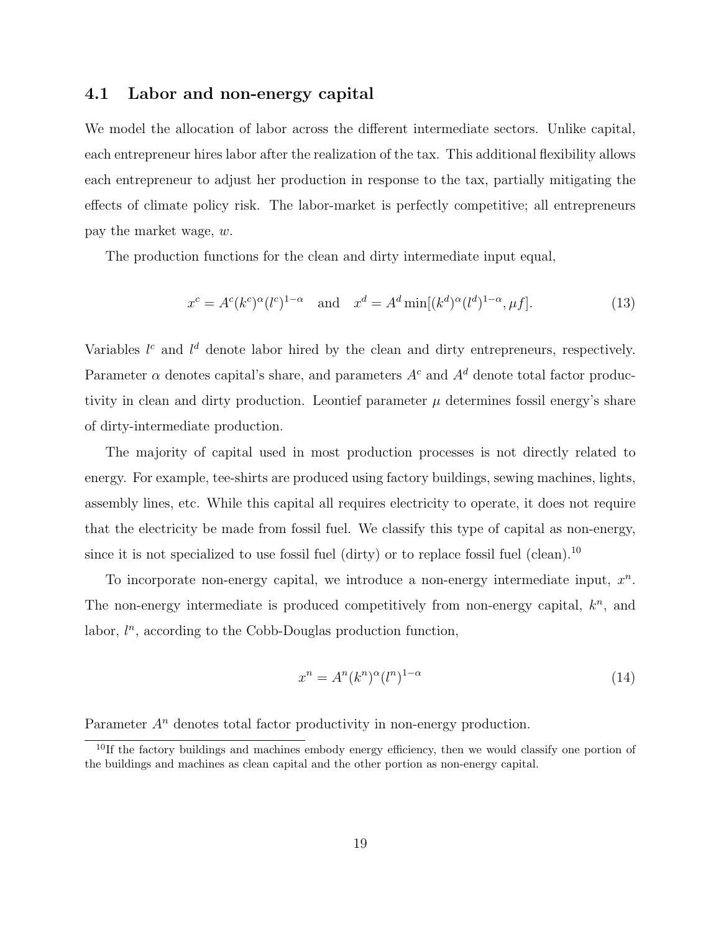### 4.1 Labor and non-energy capital

We model the allocation of labor across the different intermediate sectors. Unlike capital, each entrepreneur hires labor after the realization of the tax. This additional flexibility allows each entrepreneur to adjust her production in response to the tax, partially mitigating the effects of climate policy risk. The labor-market is perfectly competitive; all entrepreneurs pay the market wage, w.

The production functions for the clean and dirty intermediate input equal,

$$
x^{c} = A^{c}(k^{c})^{\alpha}(l^{c})^{1-\alpha} \quad \text{and} \quad x^{d} = A^{d} \min[(k^{d})^{\alpha}(l^{d})^{1-\alpha}, \mu f]. \tag{13}
$$

Variables  $l^c$  and  $l^d$  denote labor hired by the clean and dirty entrepreneurs, respectively. Parameter  $\alpha$  denotes capital's share, and parameters  $A^c$  and  $A^d$  denote total factor productivity in clean and dirty production. Leontief parameter  $\mu$  determines fossil energy's share of dirty-intermediate production.

The majority of capital used in most production processes is not directly related to energy. For example, tee-shirts are produced using factory buildings, sewing machines, lights, assembly lines, etc. While this capital all requires electricity to operate, it does not require that the electricity be made from fossil fuel. We classify this type of capital as non-energy, since it is not specialized to use fossil fuel (dirty) or to replace fossil fuel (clean).<sup>10</sup>

To incorporate non-energy capital, we introduce a non-energy intermediate input,  $x<sup>n</sup>$ . The non-energy intermediate is produced competitively from non-energy capital,  $k<sup>n</sup>$ , and labor,  $l^n$ , according to the Cobb-Douglas production function,

$$
x^n = A^n (k^n)^{\alpha} (l^n)^{1-\alpha} \tag{14}
$$

Parameter  $A<sup>n</sup>$  denotes total factor productivity in non-energy production.

<sup>&</sup>lt;sup>10</sup>If the factory buildings and machines embody energy efficiency, then we would classify one portion of the buildings and machines as clean capital and the other portion as non-energy capital.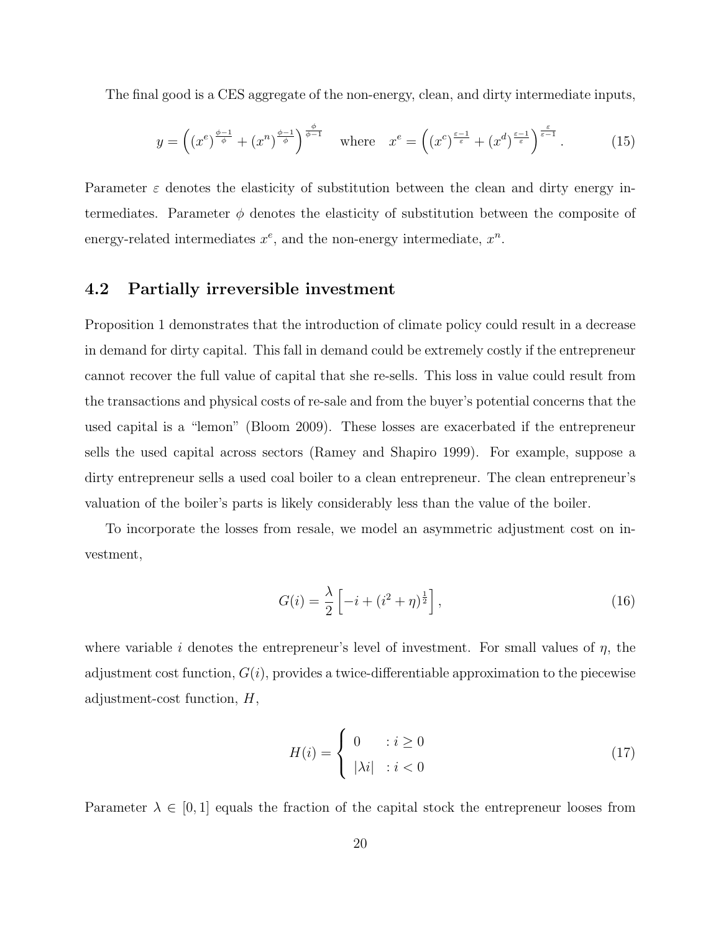The final good is a CES aggregate of the non-energy, clean, and dirty intermediate inputs,

$$
y = \left( \left( x^e \right)^{\frac{\phi-1}{\phi}} + \left( x^n \right)^{\frac{\phi-1}{\phi}} \right)^{\frac{\phi}{\phi-1}} \quad \text{where} \quad x^e = \left( \left( x^c \right)^{\frac{\varepsilon-1}{\varepsilon}} + \left( x^d \right)^{\frac{\varepsilon-1}{\varepsilon}} \right)^{\frac{\varepsilon}{\varepsilon-1}}. \tag{15}
$$

Parameter  $\varepsilon$  denotes the elasticity of substitution between the clean and dirty energy intermediates. Parameter  $\phi$  denotes the elasticity of substitution between the composite of energy-related intermediates  $x^e$ , and the non-energy intermediate,  $x^n$ .

#### 4.2 Partially irreversible investment

Proposition 1 demonstrates that the introduction of climate policy could result in a decrease in demand for dirty capital. This fall in demand could be extremely costly if the entrepreneur cannot recover the full value of capital that she re-sells. This loss in value could result from the transactions and physical costs of re-sale and from the buyer's potential concerns that the used capital is a "lemon" (Bloom 2009). These losses are exacerbated if the entrepreneur sells the used capital across sectors (Ramey and Shapiro 1999). For example, suppose a dirty entrepreneur sells a used coal boiler to a clean entrepreneur. The clean entrepreneur's valuation of the boiler's parts is likely considerably less than the value of the boiler.

To incorporate the losses from resale, we model an asymmetric adjustment cost on investment,

$$
G(i) = \frac{\lambda}{2} \left[ -i + (i^2 + \eta)^{\frac{1}{2}} \right],
$$
\n(16)

where variable i denotes the entrepreneur's level of investment. For small values of  $\eta$ , the adjustment cost function,  $G(i)$ , provides a twice-differentiable approximation to the piecewise adjustment-cost function, H,

$$
H(i) = \begin{cases} 0 & \text{if } i \ge 0 \\ |\lambda i| & \text{if } i < 0 \end{cases} \tag{17}
$$

Parameter  $\lambda \in [0,1]$  equals the fraction of the capital stock the entrepreneur looses from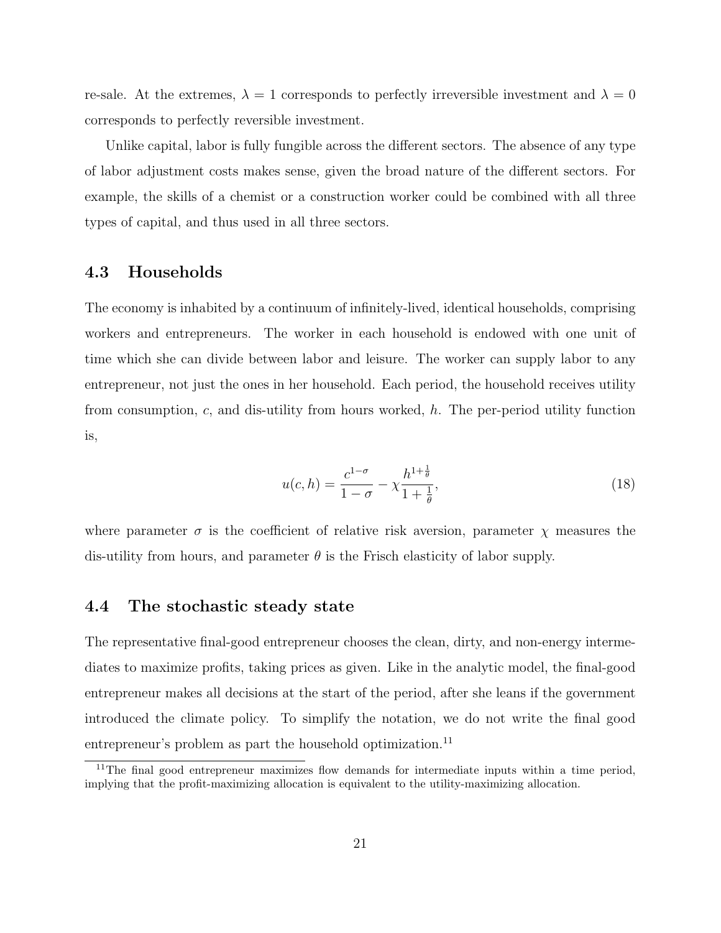re-sale. At the extremes,  $\lambda = 1$  corresponds to perfectly irreversible investment and  $\lambda = 0$ corresponds to perfectly reversible investment.

Unlike capital, labor is fully fungible across the different sectors. The absence of any type of labor adjustment costs makes sense, given the broad nature of the different sectors. For example, the skills of a chemist or a construction worker could be combined with all three types of capital, and thus used in all three sectors.

### 4.3 Households

The economy is inhabited by a continuum of infinitely-lived, identical households, comprising workers and entrepreneurs. The worker in each household is endowed with one unit of time which she can divide between labor and leisure. The worker can supply labor to any entrepreneur, not just the ones in her household. Each period, the household receives utility from consumption,  $c$ , and dis-utility from hours worked,  $h$ . The per-period utility function is,

$$
u(c,h) = \frac{c^{1-\sigma}}{1-\sigma} - \chi \frac{h^{1+\frac{1}{\theta}}}{1+\frac{1}{\theta}},
$$
\n(18)

where parameter  $\sigma$  is the coefficient of relative risk aversion, parameter  $\chi$  measures the dis-utility from hours, and parameter  $\theta$  is the Frisch elasticity of labor supply.

#### 4.4 The stochastic steady state

The representative final-good entrepreneur chooses the clean, dirty, and non-energy intermediates to maximize profits, taking prices as given. Like in the analytic model, the final-good entrepreneur makes all decisions at the start of the period, after she leans if the government introduced the climate policy. To simplify the notation, we do not write the final good entrepreneur's problem as part the household optimization.<sup>11</sup>

<sup>&</sup>lt;sup>11</sup>The final good entrepreneur maximizes flow demands for intermediate inputs within a time period, implying that the profit-maximizing allocation is equivalent to the utility-maximizing allocation.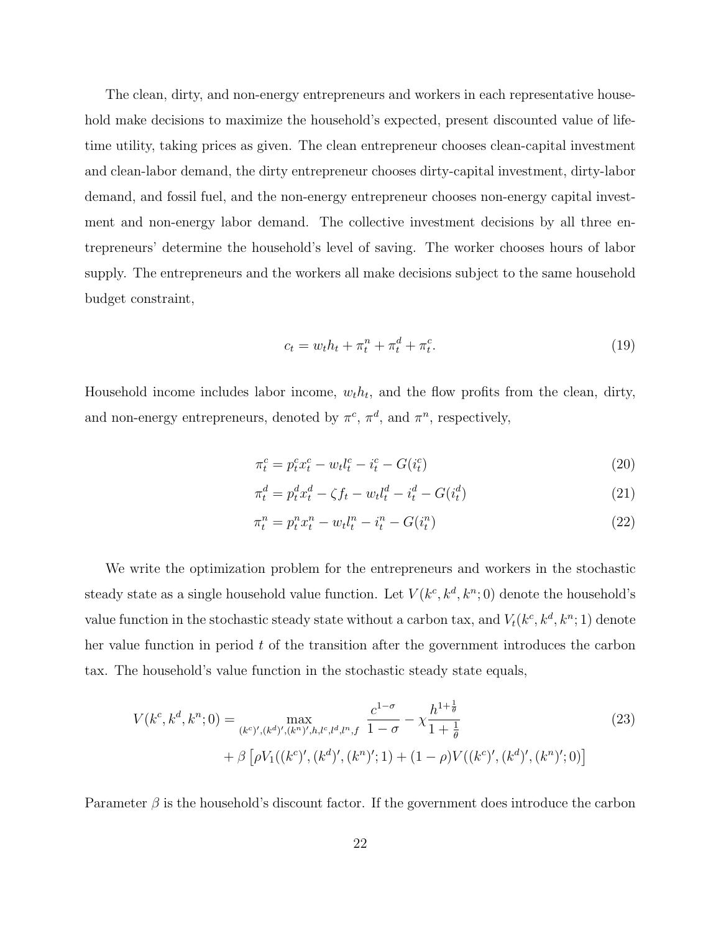The clean, dirty, and non-energy entrepreneurs and workers in each representative household make decisions to maximize the household's expected, present discounted value of lifetime utility, taking prices as given. The clean entrepreneur chooses clean-capital investment and clean-labor demand, the dirty entrepreneur chooses dirty-capital investment, dirty-labor demand, and fossil fuel, and the non-energy entrepreneur chooses non-energy capital investment and non-energy labor demand. The collective investment decisions by all three entrepreneurs' determine the household's level of saving. The worker chooses hours of labor supply. The entrepreneurs and the workers all make decisions subject to the same household budget constraint,

$$
c_t = w_t h_t + \pi_t^n + \pi_t^d + \pi_t^c. \tag{19}
$$

Household income includes labor income,  $w_t h_t$ , and the flow profits from the clean, dirty, and non-energy entrepreneurs, denoted by  $\pi^c$ ,  $\pi^d$ , and  $\pi^n$ , respectively,

$$
\pi_t^c = p_t^c x_t^c - w_t l_t^c - i_t^c - G(i_t^c)
$$
\n(20)

$$
\pi_t^d = p_t^d x_t^d - \zeta f_t - w_t l_t^d - i_t^d - G(i_t^d)
$$
\n(21)

$$
\pi_t^n = p_t^n x_t^n - w_t l_t^n - i_t^n - G(i_t^n)
$$
\n(22)

We write the optimization problem for the entrepreneurs and workers in the stochastic steady state as a single household value function. Let  $V(k^c, k^d, k^n; 0)$  denote the household's value function in the stochastic steady state without a carbon tax, and  $V_t(k^c, k^d, k^n; 1)$  denote her value function in period t of the transition after the government introduces the carbon tax. The household's value function in the stochastic steady state equals,

$$
V(k^{c}, k^{d}, k^{n}; 0) = \max_{(k^{c})', (k^{d})', (k^{n})', h, l^{c}, l^{d}, l^{n}, f} \frac{c^{1-\sigma}}{1-\sigma} - \chi \frac{h^{1+\frac{1}{\theta}}}{1+\frac{1}{\theta}} + \beta \left[ \rho V_{1}((k^{c})', (k^{d})', (k^{n})'; 1) + (1-\rho)V((k^{c})', (k^{d})', (k^{n})'; 0) \right]
$$
(23)

Parameter  $\beta$  is the household's discount factor. If the government does introduce the carbon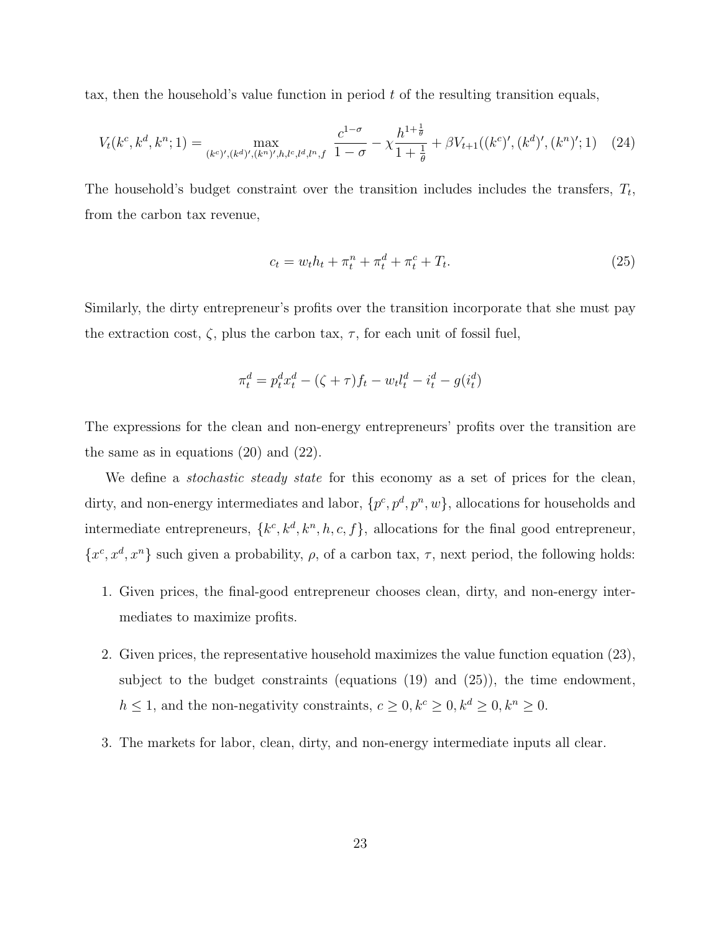tax, then the household's value function in period  $t$  of the resulting transition equals,

$$
V_t(k^c, k^d, k^n; 1) = \max_{(k^c)', (k^d)', (k^n)', h, l^c, l^d, l^n, f} \frac{c^{1-\sigma}}{1-\sigma} - \chi \frac{h^{1+\frac{1}{\theta}}}{1+\frac{1}{\theta}} + \beta V_{t+1}((k^c)', (k^d)', (k^n)'; 1) \tag{24}
$$

The household's budget constraint over the transition includes includes the transfers,  $T_t$ , from the carbon tax revenue,

$$
c_t = w_t h_t + \pi_t^n + \pi_t^d + \pi_t^c + T_t.
$$
\n(25)

Similarly, the dirty entrepreneur's profits over the transition incorporate that she must pay the extraction cost,  $\zeta$ , plus the carbon tax,  $\tau$ , for each unit of fossil fuel,

$$
\pi_t^d = p_t^d x_t^d - (\zeta + \tau) f_t - w_t l_t^d - i_t^d - g(i_t^d)
$$

The expressions for the clean and non-energy entrepreneurs' profits over the transition are the same as in equations (20) and (22).

We define a *stochastic steady state* for this economy as a set of prices for the clean, dirty, and non-energy intermediates and labor,  $\{p^c, p^d, p^n, w\}$ , allocations for households and intermediate entrepreneurs,  $\{k^c, k^d, k^n, h, c, f\}$ , allocations for the final good entrepreneur,  $\{x^c, x^d, x^n\}$  such given a probability,  $\rho$ , of a carbon tax,  $\tau$ , next period, the following holds:

- 1. Given prices, the final-good entrepreneur chooses clean, dirty, and non-energy intermediates to maximize profits.
- 2. Given prices, the representative household maximizes the value function equation (23), subject to the budget constraints (equations (19) and (25)), the time endowment,  $h\leq 1,$  and the non-negativity constraints,  $c\geq 0, k^c\geq 0, k^d\geq 0, k^n\geq 0.$
- 3. The markets for labor, clean, dirty, and non-energy intermediate inputs all clear.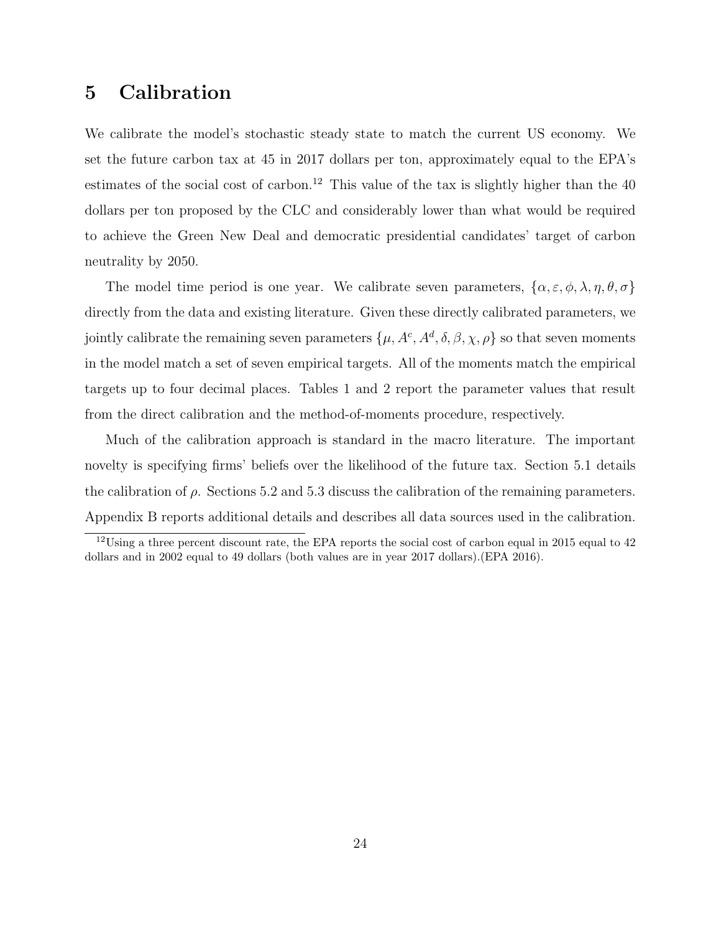### 5 Calibration

We calibrate the model's stochastic steady state to match the current US economy. We set the future carbon tax at 45 in 2017 dollars per ton, approximately equal to the EPA's estimates of the social cost of carbon.<sup>12</sup> This value of the tax is slightly higher than the  $40$ dollars per ton proposed by the CLC and considerably lower than what would be required to achieve the Green New Deal and democratic presidential candidates' target of carbon neutrality by 2050.

The model time period is one year. We calibrate seven parameters,  $\{\alpha, \varepsilon, \phi, \lambda, \eta, \theta, \sigma\}$ directly from the data and existing literature. Given these directly calibrated parameters, we jointly calibrate the remaining seven parameters  $\{\mu, A^c, A^d, \delta, \beta, \chi, \rho\}$  so that seven moments in the model match a set of seven empirical targets. All of the moments match the empirical targets up to four decimal places. Tables 1 and 2 report the parameter values that result from the direct calibration and the method-of-moments procedure, respectively.

Much of the calibration approach is standard in the macro literature. The important novelty is specifying firms' beliefs over the likelihood of the future tax. Section 5.1 details the calibration of  $\rho$ . Sections 5.2 and 5.3 discuss the calibration of the remaining parameters. Appendix B reports additional details and describes all data sources used in the calibration.

<sup>&</sup>lt;sup>12</sup>Using a three percent discount rate, the EPA reports the social cost of carbon equal in 2015 equal to 42 dollars and in 2002 equal to 49 dollars (both values are in year 2017 dollars).(EPA 2016).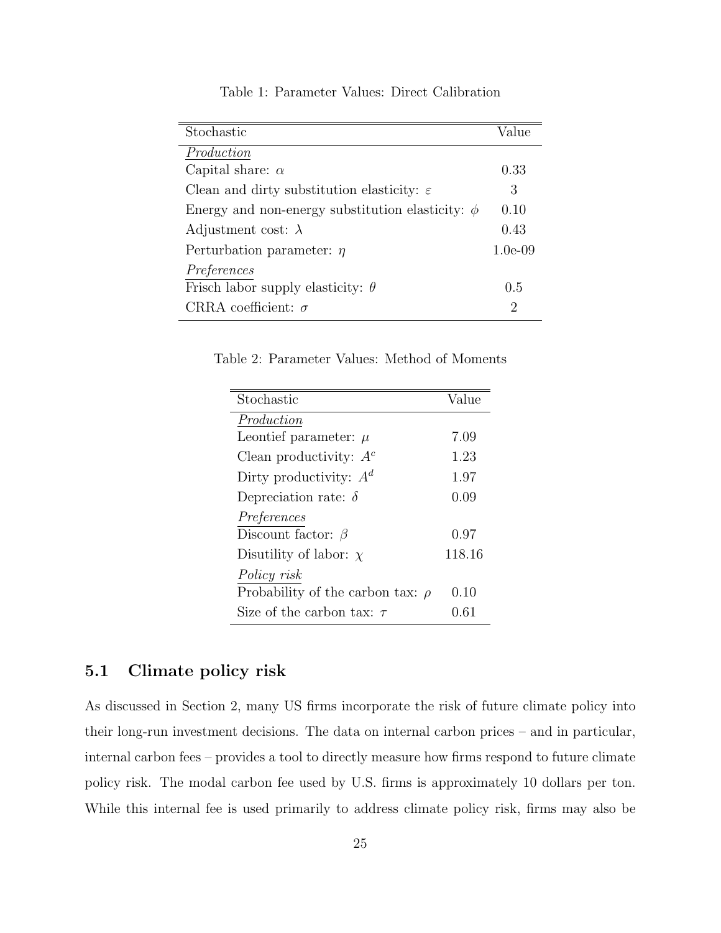| Stochastic                                             | Value     |
|--------------------------------------------------------|-----------|
| Production                                             |           |
| Capital share: $\alpha$                                | 0.33      |
| Clean and dirty substitution elasticity: $\varepsilon$ | 3         |
| Energy and non-energy substitution elasticity: $\phi$  | 0.10      |
| Adjustment cost: $\lambda$                             | 0.43      |
| Perturbation parameter: $\eta$                         | $1.0e-09$ |
| Preferences                                            |           |
| Frisch labor supply elasticity: $\theta$               | 0.5       |
| CRRA coefficient: $\sigma$                             | 2         |

Table 1: Parameter Values: Direct Calibration

Table 2: Parameter Values: Method of Moments

| Stochastic                            | Value  |
|---------------------------------------|--------|
| Production                            |        |
| Leontief parameter: $\mu$             | 7.09   |
| Clean productivity: $A^c$             | 1.23   |
| Dirty productivity: $A^d$             | 1.97   |
| Depreciation rate: $\delta$           | 0.09   |
| Preferences                           |        |
| Discount factor: $\beta$              | 0.97   |
| Disutility of labor: $\chi$           | 118.16 |
| Policy risk                           |        |
| Probability of the carbon tax: $\rho$ | 0.10   |
| Size of the carbon tax: $\tau$        | 0.61   |

### 5.1 Climate policy risk

As discussed in Section 2, many US firms incorporate the risk of future climate policy into their long-run investment decisions. The data on internal carbon prices – and in particular, internal carbon fees – provides a tool to directly measure how firms respond to future climate policy risk. The modal carbon fee used by U.S. firms is approximately 10 dollars per ton. While this internal fee is used primarily to address climate policy risk, firms may also be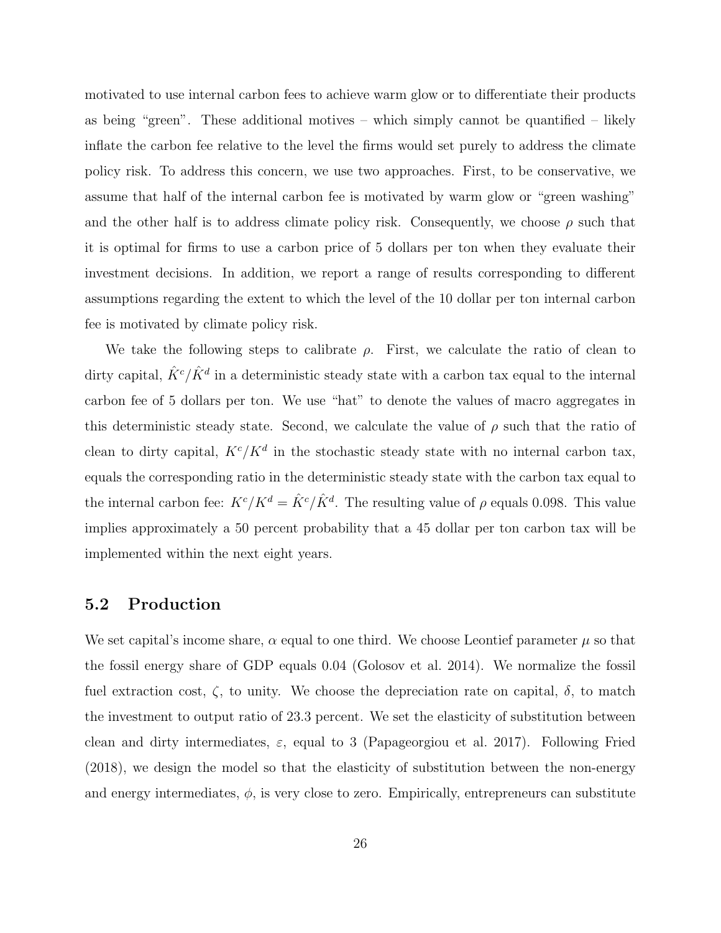motivated to use internal carbon fees to achieve warm glow or to differentiate their products as being "green". These additional motives – which simply cannot be quantified – likely inflate the carbon fee relative to the level the firms would set purely to address the climate policy risk. To address this concern, we use two approaches. First, to be conservative, we assume that half of the internal carbon fee is motivated by warm glow or "green washing" and the other half is to address climate policy risk. Consequently, we choose  $\rho$  such that it is optimal for firms to use a carbon price of 5 dollars per ton when they evaluate their investment decisions. In addition, we report a range of results corresponding to different assumptions regarding the extent to which the level of the 10 dollar per ton internal carbon fee is motivated by climate policy risk.

We take the following steps to calibrate  $\rho$ . First, we calculate the ratio of clean to dirty capital,  $\hat{K}^c/\hat{K}^d$  in a deterministic steady state with a carbon tax equal to the internal carbon fee of 5 dollars per ton. We use "hat" to denote the values of macro aggregates in this deterministic steady state. Second, we calculate the value of  $\rho$  such that the ratio of clean to dirty capital,  $K^c/K^d$  in the stochastic steady state with no internal carbon tax, equals the corresponding ratio in the deterministic steady state with the carbon tax equal to the internal carbon fee:  $K^c/K^d = \hat{K}^c/\hat{K}^d$ . The resulting value of  $\rho$  equals 0.098. This value implies approximately a 50 percent probability that a 45 dollar per ton carbon tax will be implemented within the next eight years.

#### 5.2 Production

We set capital's income share,  $\alpha$  equal to one third. We choose Leontief parameter  $\mu$  so that the fossil energy share of GDP equals 0.04 (Golosov et al. 2014). We normalize the fossil fuel extraction cost,  $\zeta$ , to unity. We choose the depreciation rate on capital,  $\delta$ , to match the investment to output ratio of 23.3 percent. We set the elasticity of substitution between clean and dirty intermediates,  $\varepsilon$ , equal to 3 (Papageorgiou et al. 2017). Following Fried (2018), we design the model so that the elasticity of substitution between the non-energy and energy intermediates,  $\phi$ , is very close to zero. Empirically, entrepreneurs can substitute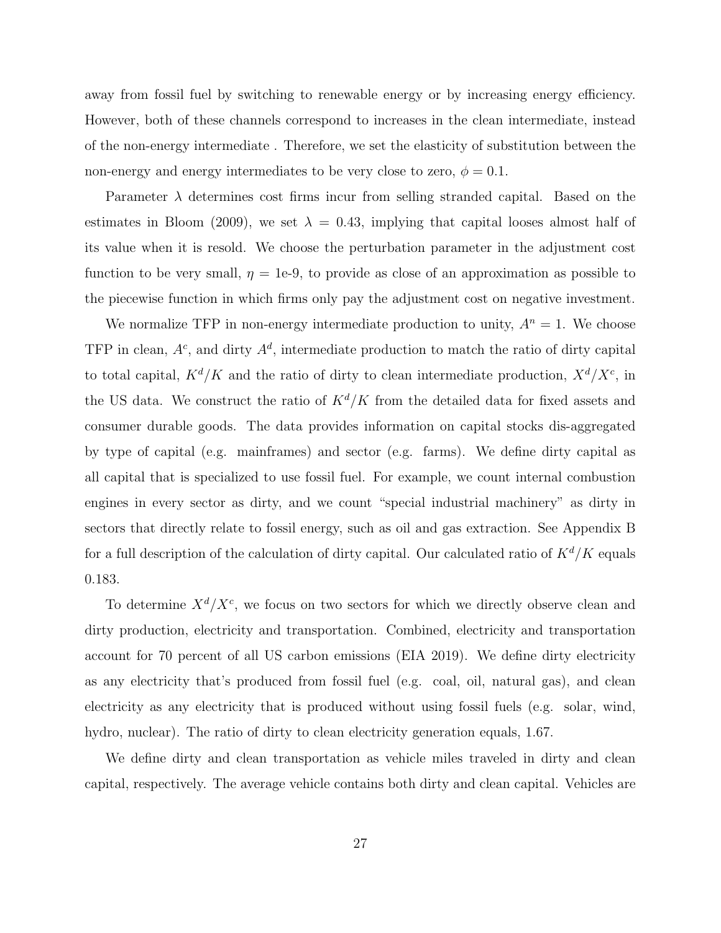away from fossil fuel by switching to renewable energy or by increasing energy efficiency. However, both of these channels correspond to increases in the clean intermediate, instead of the non-energy intermediate . Therefore, we set the elasticity of substitution between the non-energy and energy intermediates to be very close to zero,  $\phi = 0.1$ .

Parameter  $\lambda$  determines cost firms incur from selling stranded capital. Based on the estimates in Bloom (2009), we set  $\lambda = 0.43$ , implying that capital looses almost half of its value when it is resold. We choose the perturbation parameter in the adjustment cost function to be very small,  $\eta = 1e-9$ , to provide as close of an approximation as possible to the piecewise function in which firms only pay the adjustment cost on negative investment.

We normalize TFP in non-energy intermediate production to unity,  $A<sup>n</sup> = 1$ . We choose TFP in clean,  $A^c$ , and dirty  $A^d$ , intermediate production to match the ratio of dirty capital to total capital,  $K^d/K$  and the ratio of dirty to clean intermediate production,  $X^d/X^c$ , in the US data. We construct the ratio of  $K^d/K$  from the detailed data for fixed assets and consumer durable goods. The data provides information on capital stocks dis-aggregated by type of capital (e.g. mainframes) and sector (e.g. farms). We define dirty capital as all capital that is specialized to use fossil fuel. For example, we count internal combustion engines in every sector as dirty, and we count "special industrial machinery" as dirty in sectors that directly relate to fossil energy, such as oil and gas extraction. See Appendix B for a full description of the calculation of dirty capital. Our calculated ratio of  $K^d/K$  equals 0.183.

To determine  $X^d/X^c$ , we focus on two sectors for which we directly observe clean and dirty production, electricity and transportation. Combined, electricity and transportation account for 70 percent of all US carbon emissions (EIA 2019). We define dirty electricity as any electricity that's produced from fossil fuel (e.g. coal, oil, natural gas), and clean electricity as any electricity that is produced without using fossil fuels (e.g. solar, wind, hydro, nuclear). The ratio of dirty to clean electricity generation equals, 1.67.

We define dirty and clean transportation as vehicle miles traveled in dirty and clean capital, respectively. The average vehicle contains both dirty and clean capital. Vehicles are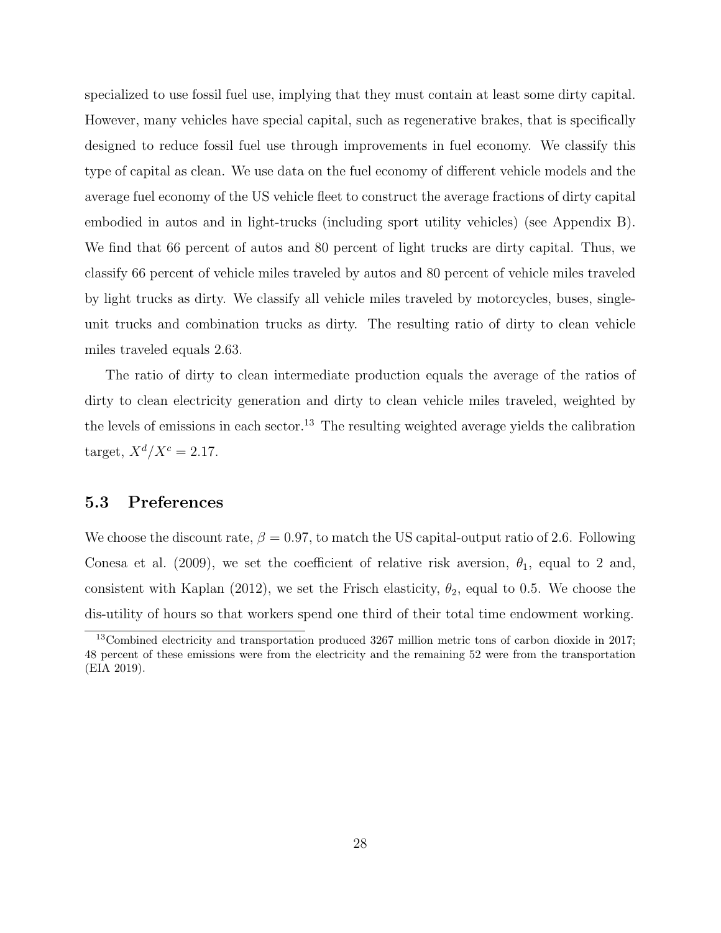specialized to use fossil fuel use, implying that they must contain at least some dirty capital. However, many vehicles have special capital, such as regenerative brakes, that is specifically designed to reduce fossil fuel use through improvements in fuel economy. We classify this type of capital as clean. We use data on the fuel economy of different vehicle models and the average fuel economy of the US vehicle fleet to construct the average fractions of dirty capital embodied in autos and in light-trucks (including sport utility vehicles) (see Appendix B). We find that 66 percent of autos and 80 percent of light trucks are dirty capital. Thus, we classify 66 percent of vehicle miles traveled by autos and 80 percent of vehicle miles traveled by light trucks as dirty. We classify all vehicle miles traveled by motorcycles, buses, singleunit trucks and combination trucks as dirty. The resulting ratio of dirty to clean vehicle miles traveled equals 2.63.

The ratio of dirty to clean intermediate production equals the average of the ratios of dirty to clean electricity generation and dirty to clean vehicle miles traveled, weighted by the levels of emissions in each sector.<sup>13</sup> The resulting weighted average yields the calibration target,  $X^d/X^c = 2.17$ .

### 5.3 Preferences

We choose the discount rate,  $\beta = 0.97$ , to match the US capital-output ratio of 2.6. Following Conesa et al. (2009), we set the coefficient of relative risk aversion,  $\theta_1$ , equal to 2 and, consistent with Kaplan (2012), we set the Frisch elasticity,  $\theta_2$ , equal to 0.5. We choose the dis-utility of hours so that workers spend one third of their total time endowment working.

<sup>13</sup>Combined electricity and transportation produced 3267 million metric tons of carbon dioxide in 2017; 48 percent of these emissions were from the electricity and the remaining 52 were from the transportation (EIA 2019).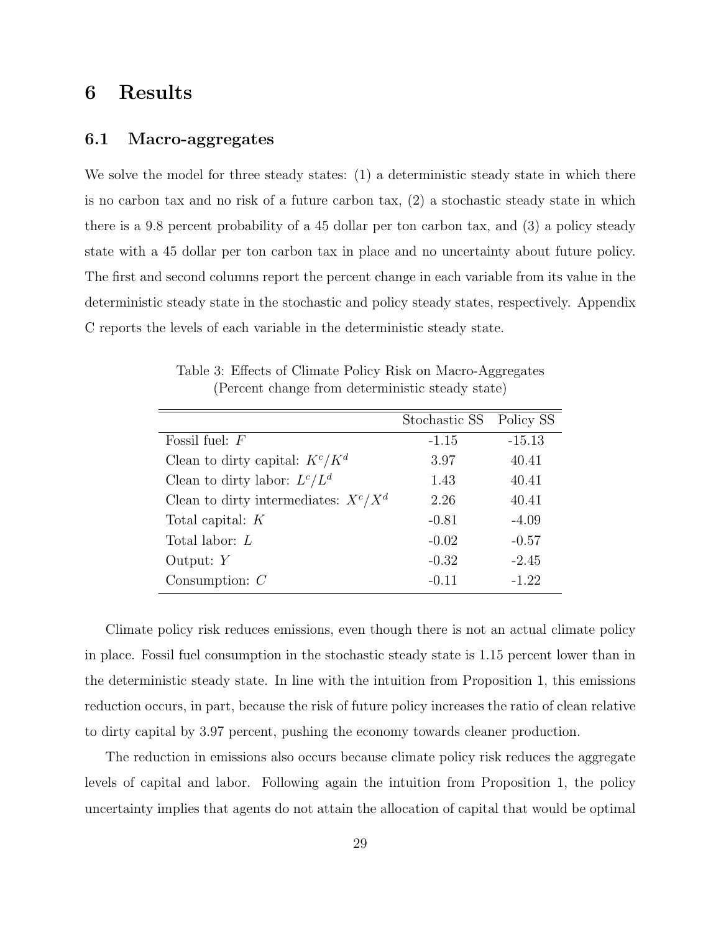### 6 Results

#### 6.1 Macro-aggregates

We solve the model for three steady states: (1) a deterministic steady state in which there is no carbon tax and no risk of a future carbon tax, (2) a stochastic steady state in which there is a 9.8 percent probability of a 45 dollar per ton carbon tax, and (3) a policy steady state with a 45 dollar per ton carbon tax in place and no uncertainty about future policy. The first and second columns report the percent change in each variable from its value in the deterministic steady state in the stochastic and policy steady states, respectively. Appendix C reports the levels of each variable in the deterministic steady state.

|                                             | Stochastic SS Policy SS |          |
|---------------------------------------------|-------------------------|----------|
| Fossil fuel: $F$                            | $-1.15$                 | $-15.13$ |
| Clean to dirty capital: $K^c/K^d$           | 3.97                    | 40.41    |
| Clean to dirty labor: $L^c/L^d$             | 1.43                    | 40.41    |
| Clean to dirty intermediates: $X^{c}/X^{d}$ | 2.26                    | 40.41    |
| Total capital: $K$                          | $-0.81$                 | $-4.09$  |
| Total labor: $L$                            | $-0.02$                 | $-0.57$  |
| Output: $Y$                                 | $-0.32$                 | $-2.45$  |
| Consumption: $\cal C$                       | $-0.11$                 | $-1.22$  |

Table 3: Effects of Climate Policy Risk on Macro-Aggregates (Percent change from deterministic steady state)

Climate policy risk reduces emissions, even though there is not an actual climate policy in place. Fossil fuel consumption in the stochastic steady state is 1.15 percent lower than in the deterministic steady state. In line with the intuition from Proposition 1, this emissions reduction occurs, in part, because the risk of future policy increases the ratio of clean relative to dirty capital by 3.97 percent, pushing the economy towards cleaner production.

The reduction in emissions also occurs because climate policy risk reduces the aggregate levels of capital and labor. Following again the intuition from Proposition 1, the policy uncertainty implies that agents do not attain the allocation of capital that would be optimal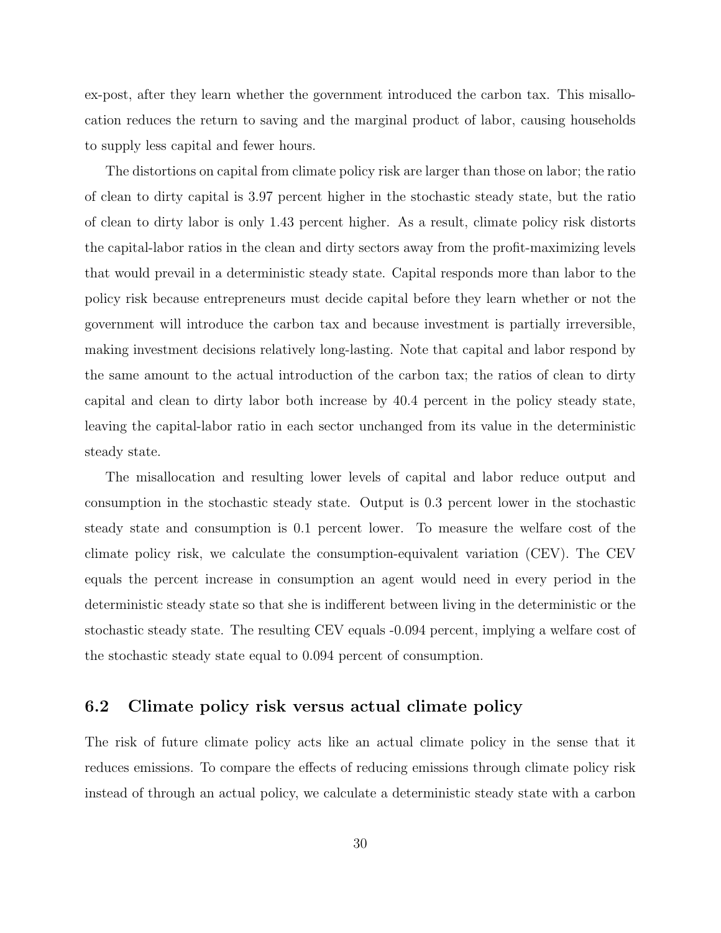ex-post, after they learn whether the government introduced the carbon tax. This misallocation reduces the return to saving and the marginal product of labor, causing households to supply less capital and fewer hours.

The distortions on capital from climate policy risk are larger than those on labor; the ratio of clean to dirty capital is 3.97 percent higher in the stochastic steady state, but the ratio of clean to dirty labor is only 1.43 percent higher. As a result, climate policy risk distorts the capital-labor ratios in the clean and dirty sectors away from the profit-maximizing levels that would prevail in a deterministic steady state. Capital responds more than labor to the policy risk because entrepreneurs must decide capital before they learn whether or not the government will introduce the carbon tax and because investment is partially irreversible, making investment decisions relatively long-lasting. Note that capital and labor respond by the same amount to the actual introduction of the carbon tax; the ratios of clean to dirty capital and clean to dirty labor both increase by 40.4 percent in the policy steady state, leaving the capital-labor ratio in each sector unchanged from its value in the deterministic steady state.

The misallocation and resulting lower levels of capital and labor reduce output and consumption in the stochastic steady state. Output is 0.3 percent lower in the stochastic steady state and consumption is 0.1 percent lower. To measure the welfare cost of the climate policy risk, we calculate the consumption-equivalent variation (CEV). The CEV equals the percent increase in consumption an agent would need in every period in the deterministic steady state so that she is indifferent between living in the deterministic or the stochastic steady state. The resulting CEV equals -0.094 percent, implying a welfare cost of the stochastic steady state equal to 0.094 percent of consumption.

### 6.2 Climate policy risk versus actual climate policy

The risk of future climate policy acts like an actual climate policy in the sense that it reduces emissions. To compare the effects of reducing emissions through climate policy risk instead of through an actual policy, we calculate a deterministic steady state with a carbon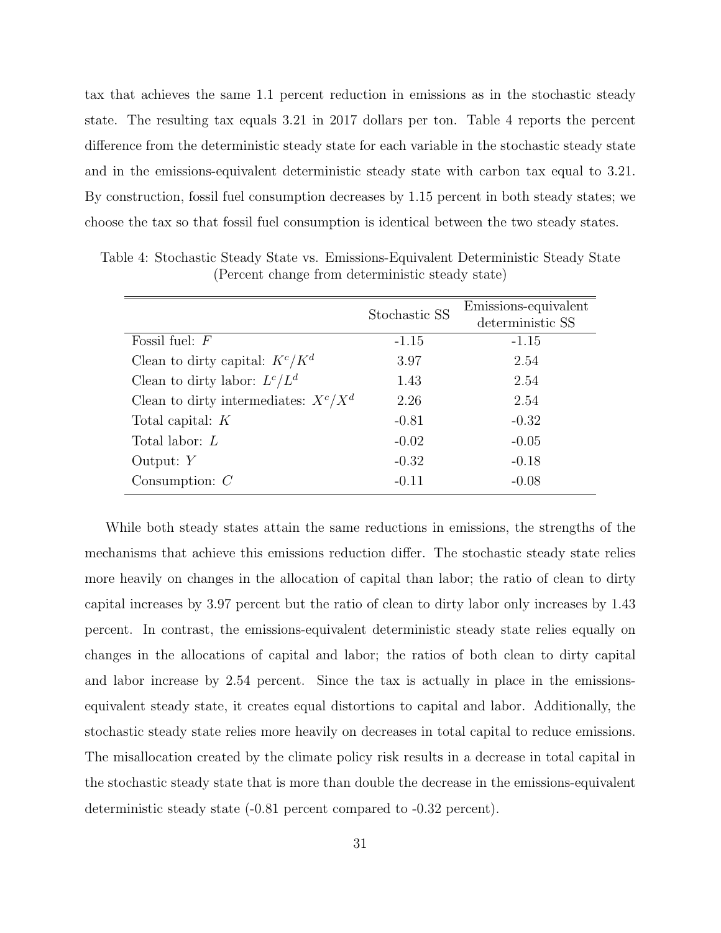tax that achieves the same 1.1 percent reduction in emissions as in the stochastic steady state. The resulting tax equals 3.21 in 2017 dollars per ton. Table 4 reports the percent difference from the deterministic steady state for each variable in the stochastic steady state and in the emissions-equivalent deterministic steady state with carbon tax equal to 3.21. By construction, fossil fuel consumption decreases by 1.15 percent in both steady states; we choose the tax so that fossil fuel consumption is identical between the two steady states.

|                                         | Stochastic SS | Emissions-equivalent |
|-----------------------------------------|---------------|----------------------|
|                                         |               | deterministic SS     |
| Fossil fuel: $F$                        | $-1.15$       | $-1.15$              |
| Clean to dirty capital: $K^c/K^d$       | 3.97          | 2.54                 |
| Clean to dirty labor: $L^c/L^d$         | 1.43          | 2.54                 |
| Clean to dirty intermediates: $X^c/X^d$ | 2.26          | 2.54                 |
| Total capital: $K$                      | $-0.81$       | $-0.32$              |
| Total labor: $L$                        | $-0.02$       | $-0.05$              |
| Output: $Y$                             | $-0.32$       | $-0.18$              |
| Consumption: $C$                        | $-0.11$       | $-0.08$              |

Table 4: Stochastic Steady State vs. Emissions-Equivalent Deterministic Steady State (Percent change from deterministic steady state)

While both steady states attain the same reductions in emissions, the strengths of the mechanisms that achieve this emissions reduction differ. The stochastic steady state relies more heavily on changes in the allocation of capital than labor; the ratio of clean to dirty capital increases by 3.97 percent but the ratio of clean to dirty labor only increases by 1.43 percent. In contrast, the emissions-equivalent deterministic steady state relies equally on changes in the allocations of capital and labor; the ratios of both clean to dirty capital and labor increase by 2.54 percent. Since the tax is actually in place in the emissionsequivalent steady state, it creates equal distortions to capital and labor. Additionally, the stochastic steady state relies more heavily on decreases in total capital to reduce emissions. The misallocation created by the climate policy risk results in a decrease in total capital in the stochastic steady state that is more than double the decrease in the emissions-equivalent deterministic steady state (-0.81 percent compared to -0.32 percent).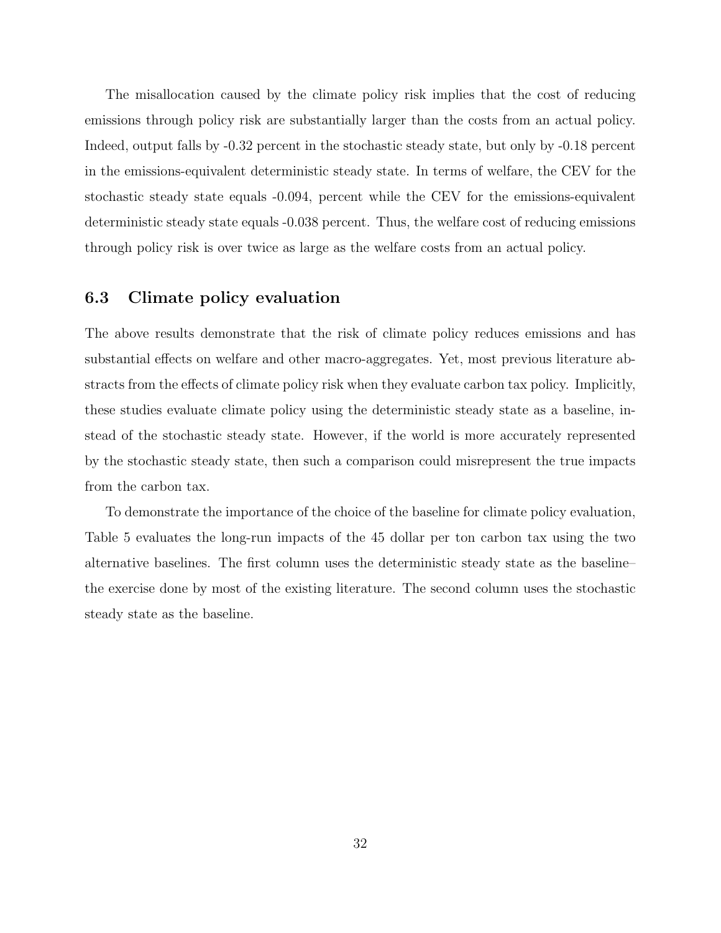The misallocation caused by the climate policy risk implies that the cost of reducing emissions through policy risk are substantially larger than the costs from an actual policy. Indeed, output falls by -0.32 percent in the stochastic steady state, but only by -0.18 percent in the emissions-equivalent deterministic steady state. In terms of welfare, the CEV for the stochastic steady state equals -0.094, percent while the CEV for the emissions-equivalent deterministic steady state equals -0.038 percent. Thus, the welfare cost of reducing emissions through policy risk is over twice as large as the welfare costs from an actual policy.

### 6.3 Climate policy evaluation

The above results demonstrate that the risk of climate policy reduces emissions and has substantial effects on welfare and other macro-aggregates. Yet, most previous literature abstracts from the effects of climate policy risk when they evaluate carbon tax policy. Implicitly, these studies evaluate climate policy using the deterministic steady state as a baseline, instead of the stochastic steady state. However, if the world is more accurately represented by the stochastic steady state, then such a comparison could misrepresent the true impacts from the carbon tax.

To demonstrate the importance of the choice of the baseline for climate policy evaluation, Table 5 evaluates the long-run impacts of the 45 dollar per ton carbon tax using the two alternative baselines. The first column uses the deterministic steady state as the baseline– the exercise done by most of the existing literature. The second column uses the stochastic steady state as the baseline.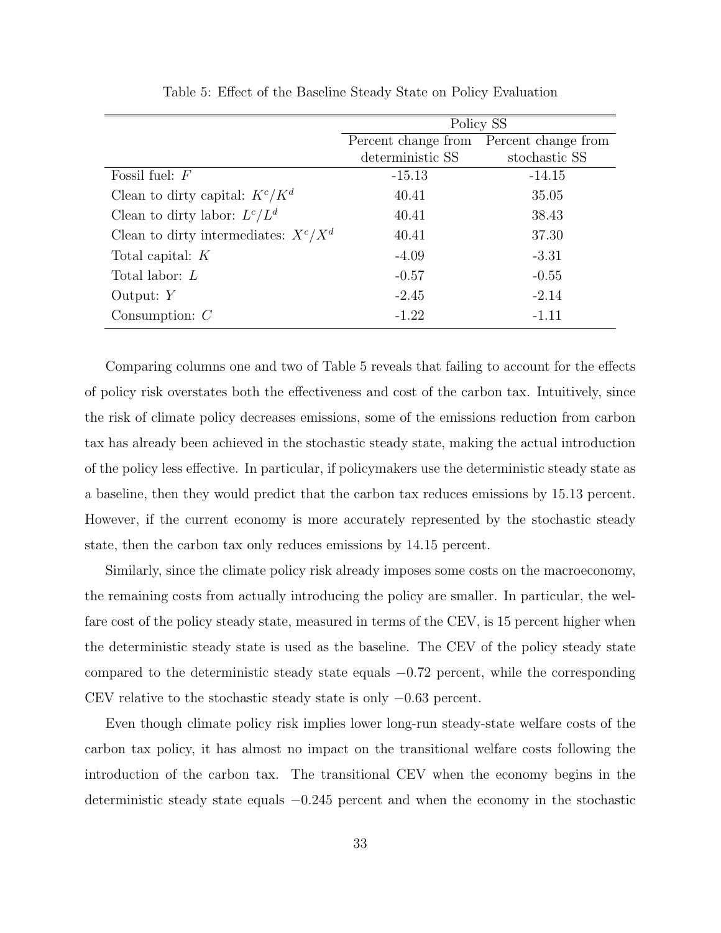|                                         | Policy SS        |                                         |  |
|-----------------------------------------|------------------|-----------------------------------------|--|
|                                         |                  | Percent change from Percent change from |  |
|                                         | deterministic SS | stochastic SS                           |  |
| Fossil fuel: $F$                        | $-15.13$         | $-14.15$                                |  |
| Clean to dirty capital: $K^c/K^d$       | 40.41            | 35.05                                   |  |
| Clean to dirty labor: $L^c/L^d$         | 40.41            | 38.43                                   |  |
| Clean to dirty intermediates: $X^c/X^d$ | 40.41            | 37.30                                   |  |
| Total capital: $K$                      | $-4.09$          | $-3.31$                                 |  |
| Total labor: $L$                        | $-0.57$          | $-0.55$                                 |  |
| Output: $Y$                             | $-2.45$          | $-2.14$                                 |  |
| Consumption: $C$                        | $-1.22$          | $-1.11$                                 |  |

Table 5: Effect of the Baseline Steady State on Policy Evaluation

Comparing columns one and two of Table 5 reveals that failing to account for the effects of policy risk overstates both the effectiveness and cost of the carbon tax. Intuitively, since the risk of climate policy decreases emissions, some of the emissions reduction from carbon tax has already been achieved in the stochastic steady state, making the actual introduction of the policy less effective. In particular, if policymakers use the deterministic steady state as a baseline, then they would predict that the carbon tax reduces emissions by 15.13 percent. However, if the current economy is more accurately represented by the stochastic steady state, then the carbon tax only reduces emissions by 14.15 percent.

Similarly, since the climate policy risk already imposes some costs on the macroeconomy, the remaining costs from actually introducing the policy are smaller. In particular, the welfare cost of the policy steady state, measured in terms of the CEV, is 15 percent higher when the deterministic steady state is used as the baseline. The CEV of the policy steady state compared to the deterministic steady state equals −0.72 percent, while the corresponding CEV relative to the stochastic steady state is only −0.63 percent.

Even though climate policy risk implies lower long-run steady-state welfare costs of the carbon tax policy, it has almost no impact on the transitional welfare costs following the introduction of the carbon tax. The transitional CEV when the economy begins in the deterministic steady state equals −0.245 percent and when the economy in the stochastic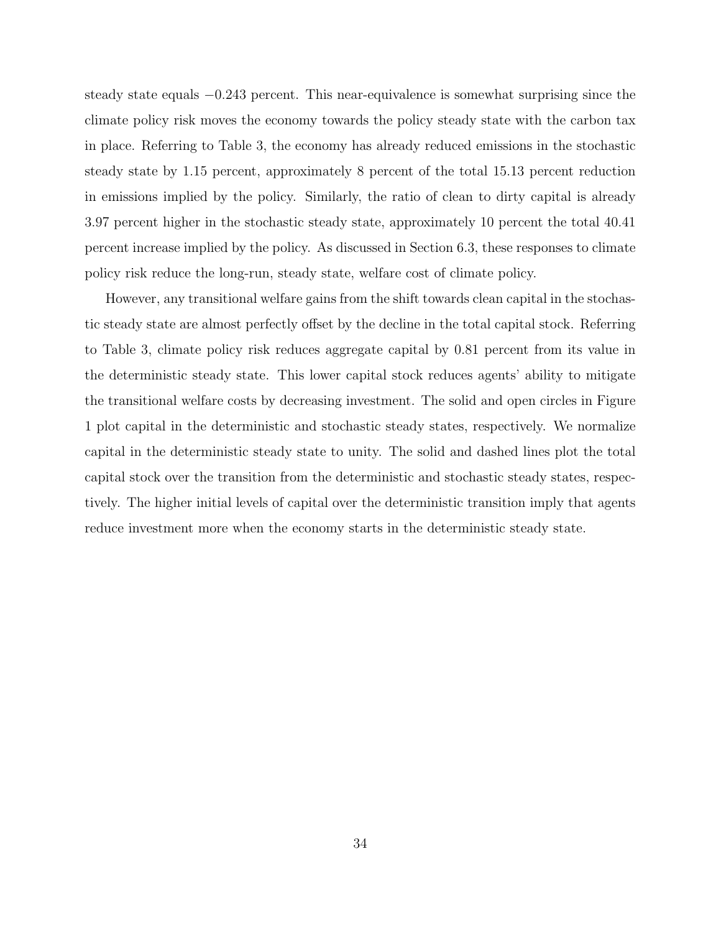steady state equals −0.243 percent. This near-equivalence is somewhat surprising since the climate policy risk moves the economy towards the policy steady state with the carbon tax in place. Referring to Table 3, the economy has already reduced emissions in the stochastic steady state by 1.15 percent, approximately 8 percent of the total 15.13 percent reduction in emissions implied by the policy. Similarly, the ratio of clean to dirty capital is already 3.97 percent higher in the stochastic steady state, approximately 10 percent the total 40.41 percent increase implied by the policy. As discussed in Section 6.3, these responses to climate policy risk reduce the long-run, steady state, welfare cost of climate policy.

However, any transitional welfare gains from the shift towards clean capital in the stochastic steady state are almost perfectly offset by the decline in the total capital stock. Referring to Table 3, climate policy risk reduces aggregate capital by 0.81 percent from its value in the deterministic steady state. This lower capital stock reduces agents' ability to mitigate the transitional welfare costs by decreasing investment. The solid and open circles in Figure 1 plot capital in the deterministic and stochastic steady states, respectively. We normalize capital in the deterministic steady state to unity. The solid and dashed lines plot the total capital stock over the transition from the deterministic and stochastic steady states, respectively. The higher initial levels of capital over the deterministic transition imply that agents reduce investment more when the economy starts in the deterministic steady state.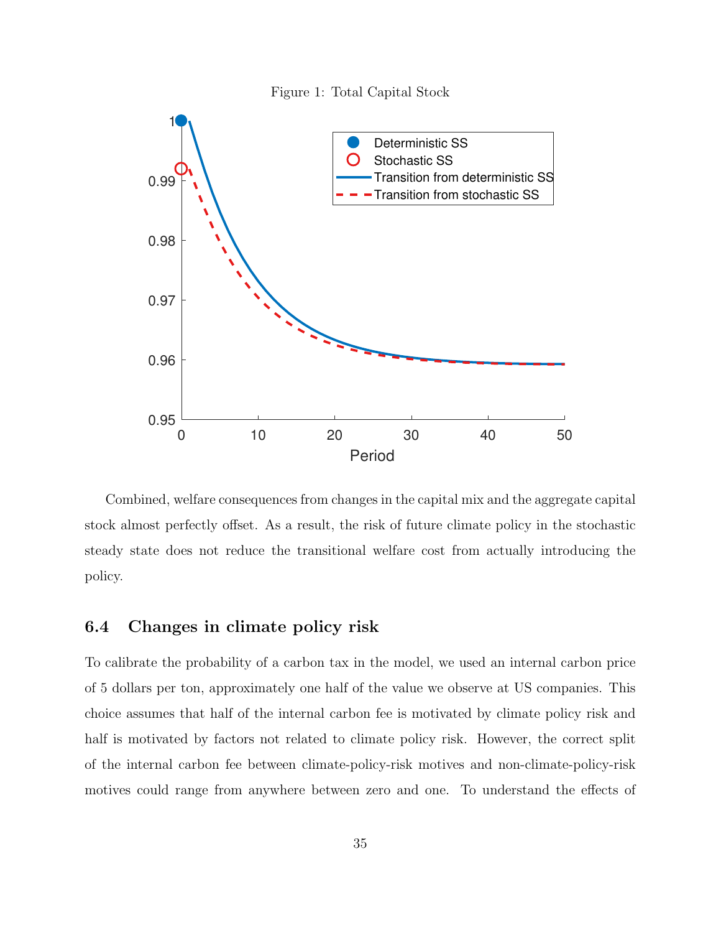



Combined, welfare consequences from changes in the capital mix and the aggregate capital stock almost perfectly offset. As a result, the risk of future climate policy in the stochastic steady state does not reduce the transitional welfare cost from actually introducing the policy.

### 6.4 Changes in climate policy risk

To calibrate the probability of a carbon tax in the model, we used an internal carbon price of 5 dollars per ton, approximately one half of the value we observe at US companies. This choice assumes that half of the internal carbon fee is motivated by climate policy risk and half is motivated by factors not related to climate policy risk. However, the correct split of the internal carbon fee between climate-policy-risk motives and non-climate-policy-risk motives could range from anywhere between zero and one. To understand the effects of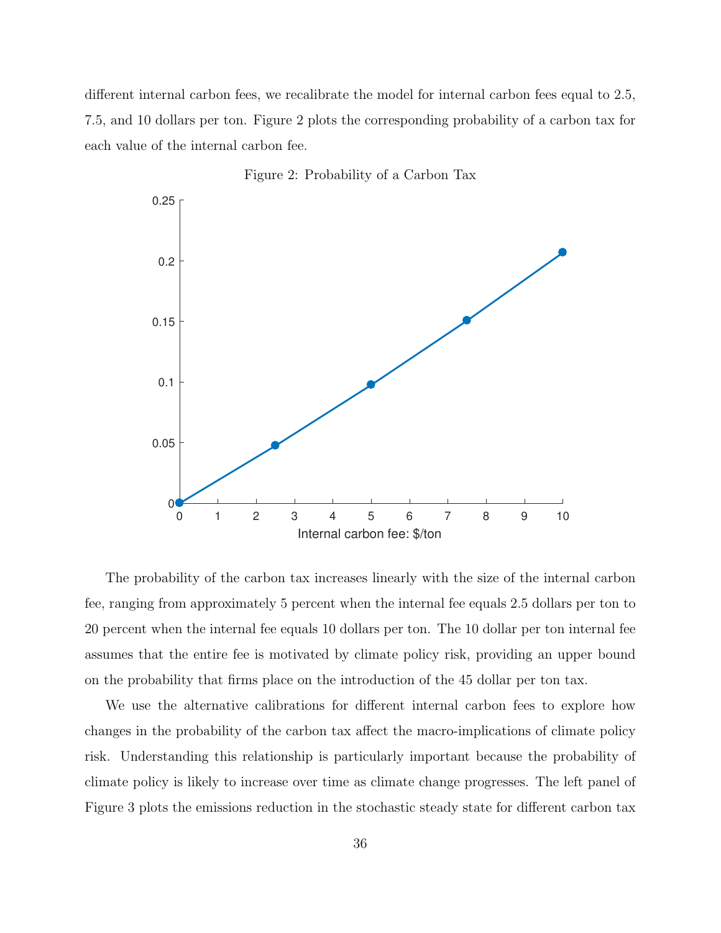different internal carbon fees, we recalibrate the model for internal carbon fees equal to 2.5, 7.5, and 10 dollars per ton. Figure 2 plots the corresponding probability of a carbon tax for each value of the internal carbon fee.



Figure 2: Probability of a Carbon Tax

The probability of the carbon tax increases linearly with the size of the internal carbon fee, ranging from approximately 5 percent when the internal fee equals 2.5 dollars per ton to 20 percent when the internal fee equals 10 dollars per ton. The 10 dollar per ton internal fee assumes that the entire fee is motivated by climate policy risk, providing an upper bound on the probability that firms place on the introduction of the 45 dollar per ton tax.

We use the alternative calibrations for different internal carbon fees to explore how changes in the probability of the carbon tax affect the macro-implications of climate policy risk. Understanding this relationship is particularly important because the probability of climate policy is likely to increase over time as climate change progresses. The left panel of Figure 3 plots the emissions reduction in the stochastic steady state for different carbon tax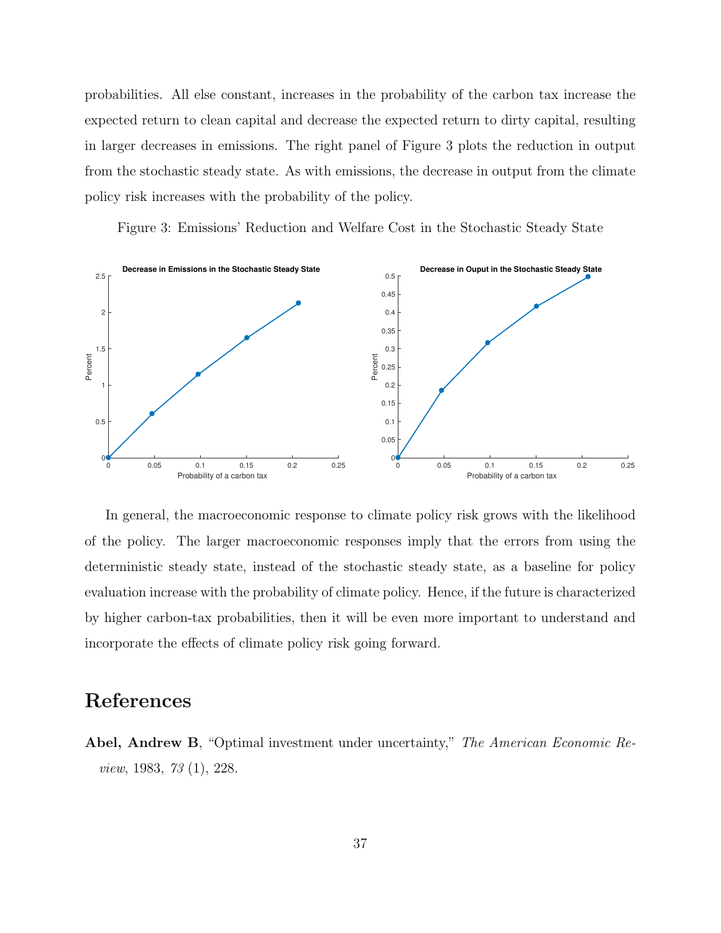probabilities. All else constant, increases in the probability of the carbon tax increase the expected return to clean capital and decrease the expected return to dirty capital, resulting in larger decreases in emissions. The right panel of Figure 3 plots the reduction in output from the stochastic steady state. As with emissions, the decrease in output from the climate policy risk increases with the probability of the policy.

Figure 3: Emissions' Reduction and Welfare Cost in the Stochastic Steady State



In general, the macroeconomic response to climate policy risk grows with the likelihood of the policy. The larger macroeconomic responses imply that the errors from using the deterministic steady state, instead of the stochastic steady state, as a baseline for policy evaluation increase with the probability of climate policy. Hence, if the future is characterized by higher carbon-tax probabilities, then it will be even more important to understand and incorporate the effects of climate policy risk going forward.

### References

Abel, Andrew B, "Optimal investment under uncertainty," The American Economic Review, 1983, 73 (1), 228.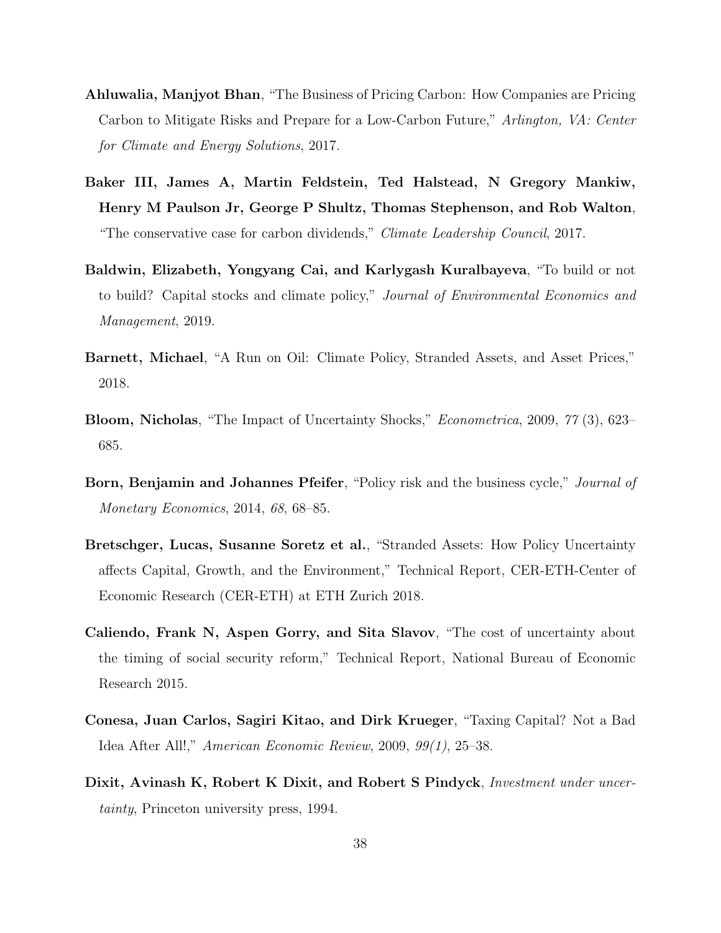- Ahluwalia, Manjyot Bhan, "The Business of Pricing Carbon: How Companies are Pricing Carbon to Mitigate Risks and Prepare for a Low-Carbon Future," Arlington, VA: Center for Climate and Energy Solutions, 2017.
- Baker III, James A, Martin Feldstein, Ted Halstead, N Gregory Mankiw, Henry M Paulson Jr, George P Shultz, Thomas Stephenson, and Rob Walton, "The conservative case for carbon dividends," Climate Leadership Council, 2017.
- Baldwin, Elizabeth, Yongyang Cai, and Karlygash Kuralbayeva, "To build or not to build? Capital stocks and climate policy," Journal of Environmental Economics and Management, 2019.
- Barnett, Michael, "A Run on Oil: Climate Policy, Stranded Assets, and Asset Prices," 2018.
- Bloom, Nicholas, "The Impact of Uncertainty Shocks," Econometrica, 2009, 77 (3), 623– 685.
- Born, Benjamin and Johannes Pfeifer, "Policy risk and the business cycle," *Journal of* Monetary Economics, 2014, 68, 68–85.
- Bretschger, Lucas, Susanne Soretz et al., "Stranded Assets: How Policy Uncertainty affects Capital, Growth, and the Environment," Technical Report, CER-ETH-Center of Economic Research (CER-ETH) at ETH Zurich 2018.
- Caliendo, Frank N, Aspen Gorry, and Sita Slavov, "The cost of uncertainty about the timing of social security reform," Technical Report, National Bureau of Economic Research 2015.
- Conesa, Juan Carlos, Sagiri Kitao, and Dirk Krueger, "Taxing Capital? Not a Bad Idea After All!," American Economic Review, 2009, 99(1), 25–38.
- Dixit, Avinash K, Robert K Dixit, and Robert S Pindyck, *Investment under uncer*tainty, Princeton university press, 1994.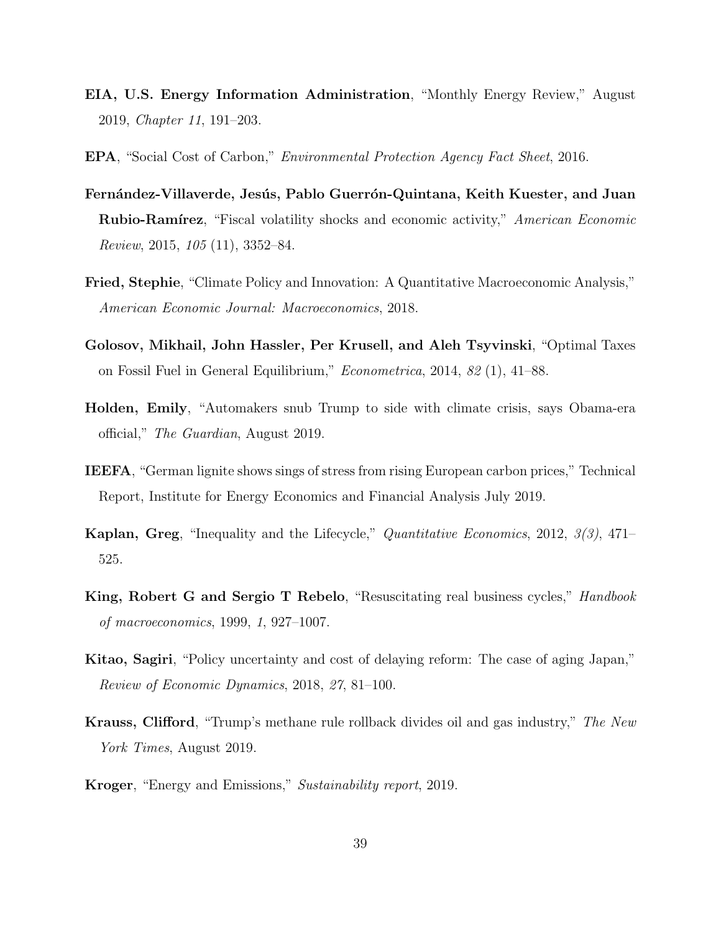- EIA, U.S. Energy Information Administration, "Monthly Energy Review," August 2019, Chapter 11, 191–203.
- EPA, "Social Cost of Carbon," Environmental Protection Agency Fact Sheet, 2016.
- Fernández-Villaverde, Jesús, Pablo Guerrón-Quintana, Keith Kuester, and Juan **Rubio-Ramírez**, "Fiscal volatility shocks and economic activity," American Economic Review, 2015, 105 (11), 3352–84.
- Fried, Stephie, "Climate Policy and Innovation: A Quantitative Macroeconomic Analysis," American Economic Journal: Macroeconomics, 2018.
- Golosov, Mikhail, John Hassler, Per Krusell, and Aleh Tsyvinski, "Optimal Taxes on Fossil Fuel in General Equilibrium," Econometrica, 2014, 82 (1), 41–88.
- Holden, Emily, "Automakers snub Trump to side with climate crisis, says Obama-era official," The Guardian, August 2019.
- IEEFA, "German lignite shows sings of stress from rising European carbon prices," Technical Report, Institute for Energy Economics and Financial Analysis July 2019.
- Kaplan, Greg, "Inequality and the Lifecycle," Quantitative Economics, 2012, 3(3), 471– 525.
- King, Robert G and Sergio T Rebelo, "Resuscitating real business cycles," *Handbook* of macroeconomics, 1999, 1, 927–1007.
- Kitao, Sagiri, "Policy uncertainty and cost of delaying reform: The case of aging Japan," Review of Economic Dynamics, 2018, 27, 81–100.
- Krauss, Clifford, "Trump's methane rule rollback divides oil and gas industry," The New York Times, August 2019.
- Kroger, "Energy and Emissions," Sustainability report, 2019.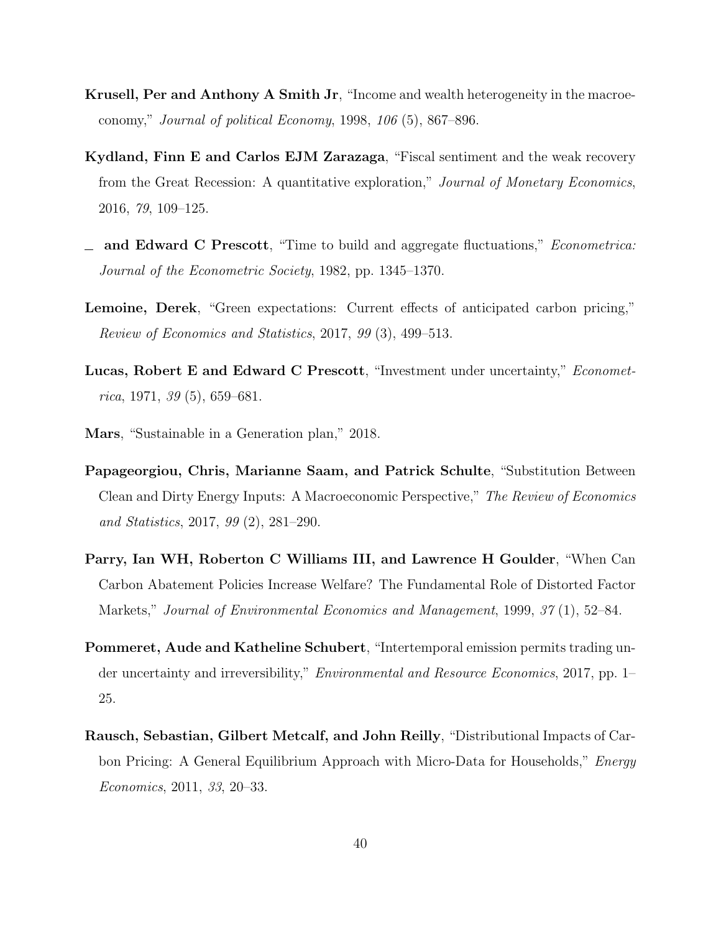- Krusell, Per and Anthony A Smith Jr, "Income and wealth heterogeneity in the macroeconomy," Journal of political Economy, 1998,  $106(5)$ , 867–896.
- Kydland, Finn E and Carlos EJM Zarazaga, "Fiscal sentiment and the weak recovery from the Great Recession: A quantitative exploration," Journal of Monetary Economics, 2016, 79, 109–125.
- and Edward C Prescott, "Time to build and aggregate fluctuations," *Econometrica*: Journal of the Econometric Society, 1982, pp. 1345–1370.
- Lemoine, Derek, "Green expectations: Current effects of anticipated carbon pricing," Review of Economics and Statistics, 2017, 99 (3), 499–513.
- Lucas, Robert E and Edward C Prescott, "Investment under uncertainty," Econometrica, 1971, 39  $(5)$ , 659–681.
- Mars, "Sustainable in a Generation plan," 2018.
- Papageorgiou, Chris, Marianne Saam, and Patrick Schulte, "Substitution Between Clean and Dirty Energy Inputs: A Macroeconomic Perspective," The Review of Economics and Statistics, 2017, 99 (2), 281–290.
- Parry, Ian WH, Roberton C Williams III, and Lawrence H Goulder, "When Can Carbon Abatement Policies Increase Welfare? The Fundamental Role of Distorted Factor Markets," Journal of Environmental Economics and Management, 1999, 37 (1), 52–84.
- Pommeret, Aude and Katheline Schubert, "Intertemporal emission permits trading under uncertainty and irreversibility," Environmental and Resource Economics, 2017, pp. 1– 25.
- Rausch, Sebastian, Gilbert Metcalf, and John Reilly, "Distributional Impacts of Carbon Pricing: A General Equilibrium Approach with Micro-Data for Households," *Energy* Economics, 2011, 33, 20–33.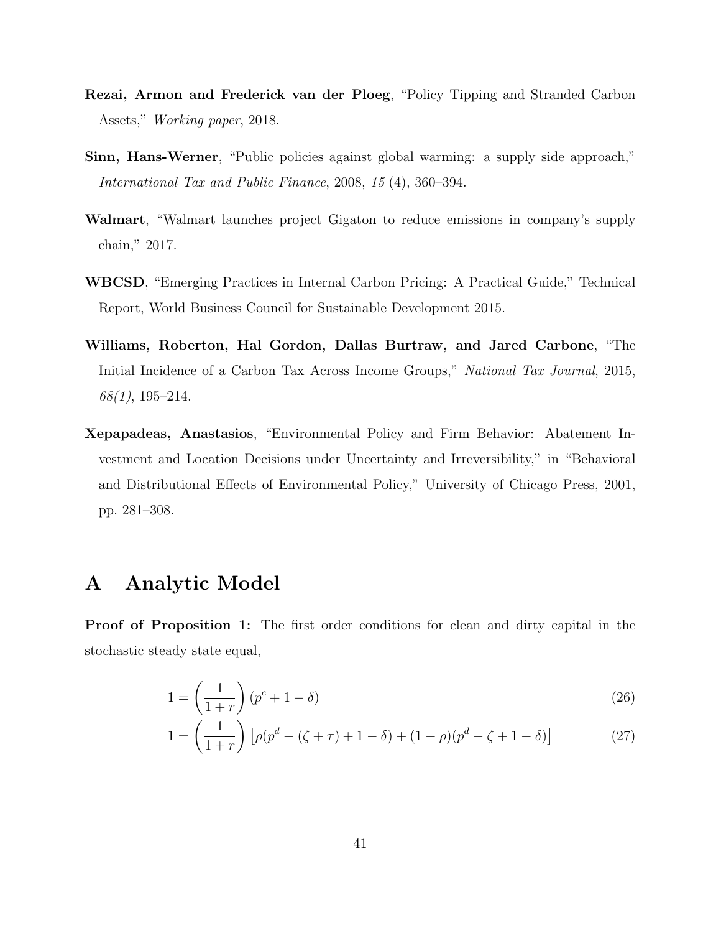- Rezai, Armon and Frederick van der Ploeg, "Policy Tipping and Stranded Carbon Assets," Working paper, 2018.
- Sinn, Hans-Werner, "Public policies against global warming: a supply side approach," International Tax and Public Finance, 2008, 15 (4), 360–394.
- Walmart, "Walmart launches project Gigaton to reduce emissions in company's supply chain," 2017.
- WBCSD, "Emerging Practices in Internal Carbon Pricing: A Practical Guide," Technical Report, World Business Council for Sustainable Development 2015.
- Williams, Roberton, Hal Gordon, Dallas Burtraw, and Jared Carbone, "The Initial Incidence of a Carbon Tax Across Income Groups," National Tax Journal, 2015,  $68(1)$ , 195-214.
- Xepapadeas, Anastasios, "Environmental Policy and Firm Behavior: Abatement Investment and Location Decisions under Uncertainty and Irreversibility," in "Behavioral and Distributional Effects of Environmental Policy," University of Chicago Press, 2001, pp. 281–308.

### A Analytic Model

Proof of Proposition 1: The first order conditions for clean and dirty capital in the stochastic steady state equal,

$$
1 = \left(\frac{1}{1+r}\right)(p^c + 1 - \delta) \tag{26}
$$

$$
1 = \left(\frac{1}{1+r}\right) \left[\rho(p^d - (\zeta + \tau) + 1 - \delta) + (1-\rho)(p^d - \zeta + 1 - \delta)\right]
$$
 (27)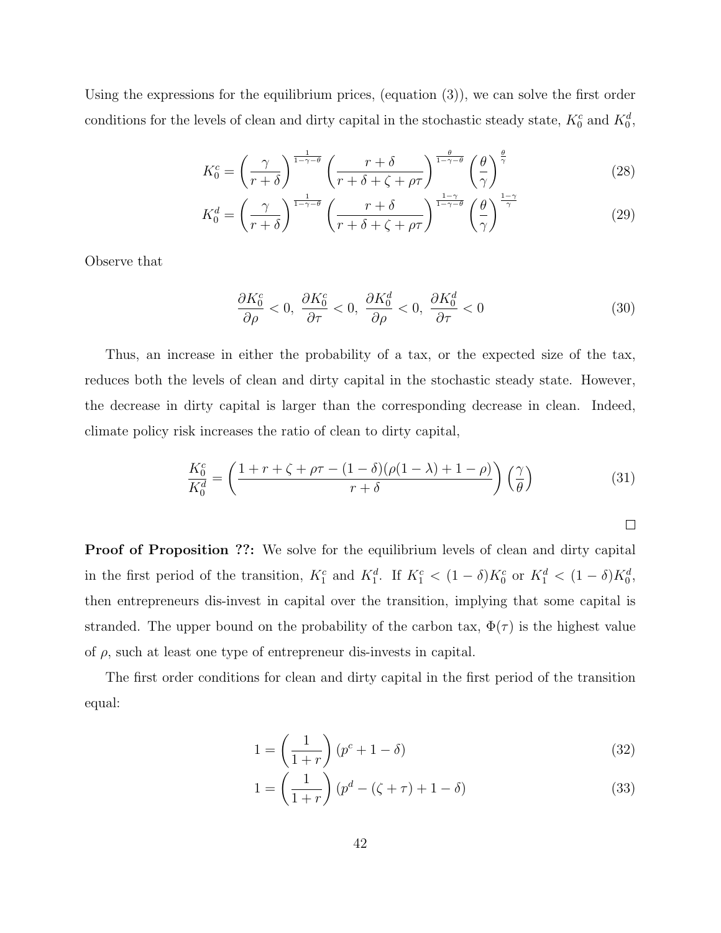Using the expressions for the equilibrium prices, (equation (3)), we can solve the first order conditions for the levels of clean and dirty capital in the stochastic steady state,  $K_0^c$  and  $K_0^d$ ,

$$
K_0^c = \left(\frac{\gamma}{r+\delta}\right)^{\frac{1}{1-\gamma-\theta}} \left(\frac{r+\delta}{r+\delta+\zeta+\rho\tau}\right)^{\frac{\theta}{1-\gamma-\theta}} \left(\frac{\theta}{\gamma}\right)^{\frac{\theta}{\gamma}}
$$
(28)

$$
K_0^d = \left(\frac{\gamma}{r+\delta}\right)^{\frac{1}{1-\gamma-\theta}} \left(\frac{r+\delta}{r+\delta+\zeta+\rho\tau}\right)^{\frac{1-\gamma}{1-\gamma-\theta}} \left(\frac{\theta}{\gamma}\right)^{\frac{1-\gamma}{\gamma}}
$$
(29)

Observe that

$$
\frac{\partial K_0^c}{\partial \rho} < 0, \ \frac{\partial K_0^c}{\partial \tau} < 0, \ \frac{\partial K_0^d}{\partial \rho} < 0, \ \frac{\partial K_0^d}{\partial \tau} < 0 \tag{30}
$$

Thus, an increase in either the probability of a tax, or the expected size of the tax, reduces both the levels of clean and dirty capital in the stochastic steady state. However, the decrease in dirty capital is larger than the corresponding decrease in clean. Indeed, climate policy risk increases the ratio of clean to dirty capital,

$$
\frac{K_0^c}{K_0^d} = \left(\frac{1+r+\zeta+\rho\tau - (1-\delta)(\rho(1-\lambda)+1-\rho)}{r+\delta}\right)\left(\frac{\gamma}{\theta}\right)
$$
(31)

 $\Box$ 

**Proof of Proposition ??:** We solve for the equilibrium levels of clean and dirty capital in the first period of the transition,  $K_1^c$  and  $K_1^d$ . If  $K_1^c < (1 - \delta)K_0^c$  or  $K_1^d < (1 - \delta)K_0^d$ , then entrepreneurs dis-invest in capital over the transition, implying that some capital is stranded. The upper bound on the probability of the carbon tax,  $\Phi(\tau)$  is the highest value of  $\rho$ , such at least one type of entrepreneur dis-invests in capital.

The first order conditions for clean and dirty capital in the first period of the transition equal:

$$
1 = \left(\frac{1}{1+r}\right)(p^c + 1 - \delta) \tag{32}
$$

$$
1 = \left(\frac{1}{1+r}\right)(p^d - (\zeta + \tau) + 1 - \delta) \tag{33}
$$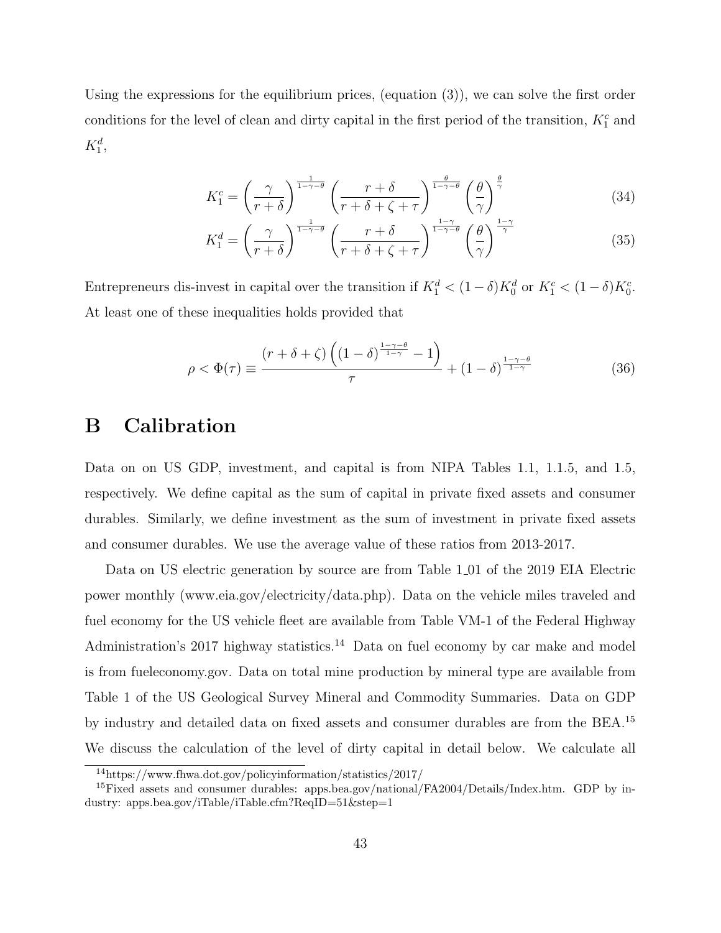Using the expressions for the equilibrium prices, (equation  $(3)$ ), we can solve the first order conditions for the level of clean and dirty capital in the first period of the transition,  $K_1^c$  and  $K_1^d$ ,

$$
K_1^c = \left(\frac{\gamma}{r+\delta}\right)^{\frac{1}{1-\gamma-\theta}} \left(\frac{r+\delta}{r+\delta+\zeta+\tau}\right)^{\frac{\theta}{1-\gamma-\theta}} \left(\frac{\theta}{\gamma}\right)^{\frac{\theta}{\gamma}}
$$
(34)

$$
K_1^d = \left(\frac{\gamma}{r+\delta}\right)^{\frac{1}{1-\gamma-\theta}} \left(\frac{r+\delta}{r+\delta+\zeta+\tau}\right)^{\frac{1-\gamma}{1-\gamma-\theta}} \left(\frac{\theta}{\gamma}\right)^{\frac{1-\gamma}{\gamma}}
$$
(35)

Entrepreneurs dis-invest in capital over the transition if  $K_1^d < (1 - \delta)K_0^d$  or  $K_1^c < (1 - \delta)K_0^c$ . At least one of these inequalities holds provided that

$$
\rho < \Phi(\tau) \equiv \frac{\left(r + \delta + \zeta\right) \left(\left(1 - \delta\right)^{\frac{1 - \gamma - \theta}{1 - \gamma}} - 1\right)}{\tau} + \left(1 - \delta\right)^{\frac{1 - \gamma - \theta}{1 - \gamma}}\tag{36}
$$

### B Calibration

Data on on US GDP, investment, and capital is from NIPA Tables 1.1, 1.1.5, and 1.5, respectively. We define capital as the sum of capital in private fixed assets and consumer durables. Similarly, we define investment as the sum of investment in private fixed assets and consumer durables. We use the average value of these ratios from 2013-2017.

Data on US electric generation by source are from Table 1 01 of the 2019 EIA Electric power monthly (www.eia.gov/electricity/data.php). Data on the vehicle miles traveled and fuel economy for the US vehicle fleet are available from Table VM-1 of the Federal Highway Administration's 2017 highway statistics.<sup>14</sup> Data on fuel economy by car make and model is from fueleconomy.gov. Data on total mine production by mineral type are available from Table 1 of the US Geological Survey Mineral and Commodity Summaries. Data on GDP by industry and detailed data on fixed assets and consumer durables are from the BEA.<sup>15</sup> We discuss the calculation of the level of dirty capital in detail below. We calculate all

<sup>14</sup>https://www.fhwa.dot.gov/policyinformation/statistics/2017/

<sup>&</sup>lt;sup>15</sup>Fixed assets and consumer durables: apps.bea.gov/national/FA2004/Details/Index.htm. GDP by industry: apps.bea.gov/iTable/iTable.cfm?ReqID=51&step=1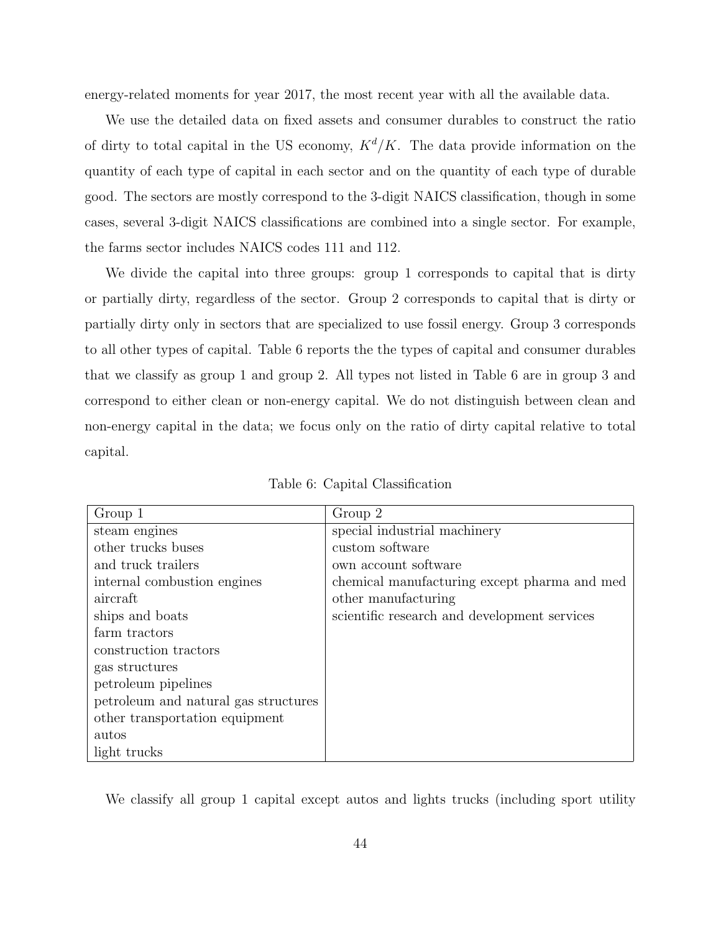energy-related moments for year 2017, the most recent year with all the available data.

We use the detailed data on fixed assets and consumer durables to construct the ratio of dirty to total capital in the US economy,  $K^d/K$ . The data provide information on the quantity of each type of capital in each sector and on the quantity of each type of durable good. The sectors are mostly correspond to the 3-digit NAICS classification, though in some cases, several 3-digit NAICS classifications are combined into a single sector. For example, the farms sector includes NAICS codes 111 and 112.

We divide the capital into three groups: group 1 corresponds to capital that is dirty or partially dirty, regardless of the sector. Group 2 corresponds to capital that is dirty or partially dirty only in sectors that are specialized to use fossil energy. Group 3 corresponds to all other types of capital. Table 6 reports the the types of capital and consumer durables that we classify as group 1 and group 2. All types not listed in Table 6 are in group 3 and correspond to either clean or non-energy capital. We do not distinguish between clean and non-energy capital in the data; we focus only on the ratio of dirty capital relative to total capital.

| Group 1                              | Group 2                                      |
|--------------------------------------|----------------------------------------------|
| steam engines                        | special industrial machinery                 |
| other trucks buses                   | custom software                              |
| and truck trailers                   | own account software                         |
| internal combustion engines          | chemical manufacturing except pharma and med |
| aircraft                             | other manufacturing                          |
| ships and boats                      | scientific research and development services |
| farm tractors                        |                                              |
| construction tractors                |                                              |
| gas structures                       |                                              |
| petroleum pipelines                  |                                              |
| petroleum and natural gas structures |                                              |
| other transportation equipment       |                                              |
| autos                                |                                              |
| light trucks                         |                                              |

Table 6: Capital Classification

We classify all group 1 capital except autos and lights trucks (including sport utility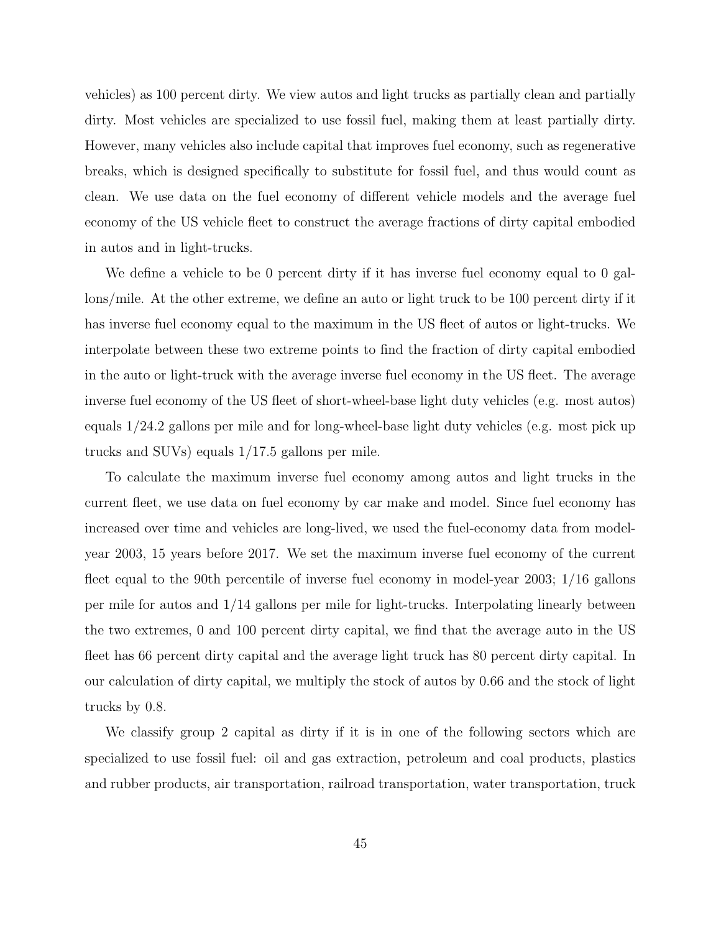vehicles) as 100 percent dirty. We view autos and light trucks as partially clean and partially dirty. Most vehicles are specialized to use fossil fuel, making them at least partially dirty. However, many vehicles also include capital that improves fuel economy, such as regenerative breaks, which is designed specifically to substitute for fossil fuel, and thus would count as clean. We use data on the fuel economy of different vehicle models and the average fuel economy of the US vehicle fleet to construct the average fractions of dirty capital embodied in autos and in light-trucks.

We define a vehicle to be 0 percent dirty if it has inverse fuel economy equal to 0 gallons/mile. At the other extreme, we define an auto or light truck to be 100 percent dirty if it has inverse fuel economy equal to the maximum in the US fleet of autos or light-trucks. We interpolate between these two extreme points to find the fraction of dirty capital embodied in the auto or light-truck with the average inverse fuel economy in the US fleet. The average inverse fuel economy of the US fleet of short-wheel-base light duty vehicles (e.g. most autos) equals 1/24.2 gallons per mile and for long-wheel-base light duty vehicles (e.g. most pick up trucks and SUVs) equals 1/17.5 gallons per mile.

To calculate the maximum inverse fuel economy among autos and light trucks in the current fleet, we use data on fuel economy by car make and model. Since fuel economy has increased over time and vehicles are long-lived, we used the fuel-economy data from modelyear 2003, 15 years before 2017. We set the maximum inverse fuel economy of the current fleet equal to the 90th percentile of inverse fuel economy in model-year 2003; 1/16 gallons per mile for autos and 1/14 gallons per mile for light-trucks. Interpolating linearly between the two extremes, 0 and 100 percent dirty capital, we find that the average auto in the US fleet has 66 percent dirty capital and the average light truck has 80 percent dirty capital. In our calculation of dirty capital, we multiply the stock of autos by 0.66 and the stock of light trucks by 0.8.

We classify group 2 capital as dirty if it is in one of the following sectors which are specialized to use fossil fuel: oil and gas extraction, petroleum and coal products, plastics and rubber products, air transportation, railroad transportation, water transportation, truck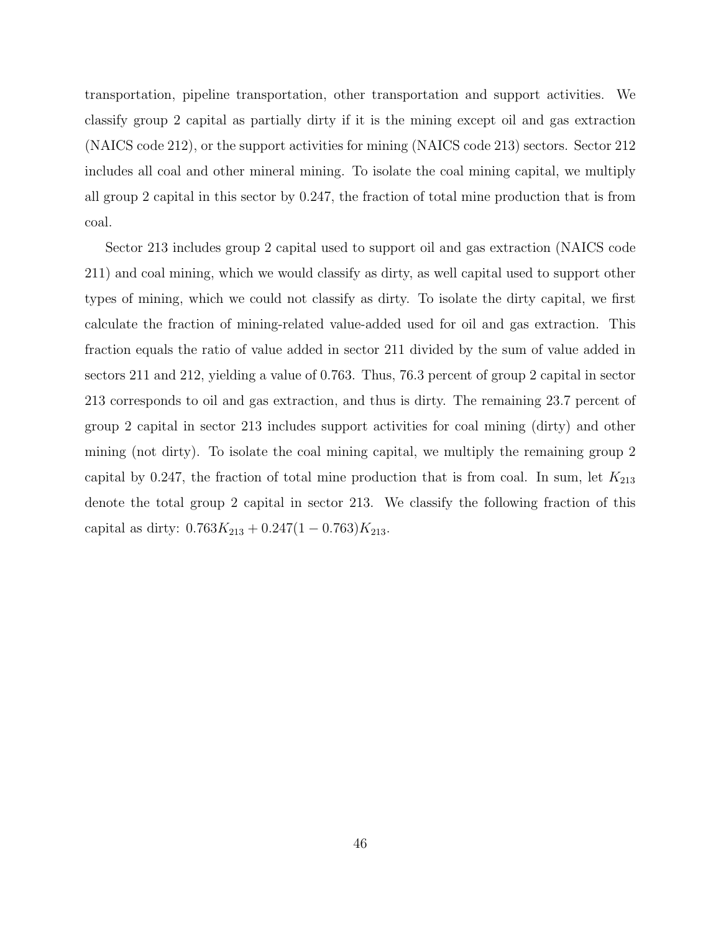transportation, pipeline transportation, other transportation and support activities. We classify group 2 capital as partially dirty if it is the mining except oil and gas extraction (NAICS code 212), or the support activities for mining (NAICS code 213) sectors. Sector 212 includes all coal and other mineral mining. To isolate the coal mining capital, we multiply all group 2 capital in this sector by 0.247, the fraction of total mine production that is from coal.

Sector 213 includes group 2 capital used to support oil and gas extraction (NAICS code 211) and coal mining, which we would classify as dirty, as well capital used to support other types of mining, which we could not classify as dirty. To isolate the dirty capital, we first calculate the fraction of mining-related value-added used for oil and gas extraction. This fraction equals the ratio of value added in sector 211 divided by the sum of value added in sectors 211 and 212, yielding a value of 0.763. Thus, 76.3 percent of group 2 capital in sector 213 corresponds to oil and gas extraction, and thus is dirty. The remaining 23.7 percent of group 2 capital in sector 213 includes support activities for coal mining (dirty) and other mining (not dirty). To isolate the coal mining capital, we multiply the remaining group 2 capital by 0.247, the fraction of total mine production that is from coal. In sum, let  $K_{213}$ denote the total group 2 capital in sector 213. We classify the following fraction of this capital as dirty:  $0.763K_{213} + 0.247(1 - 0.763)K_{213}$ .